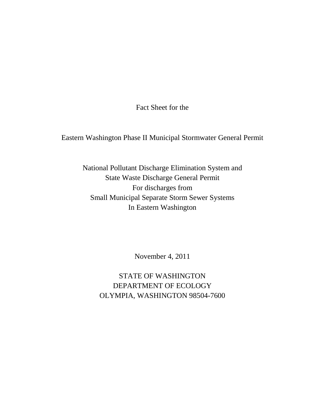Fact Sheet for the

Eastern Washington Phase II Municipal Stormwater General Permit

National Pollutant Discharge Elimination System and State Waste Discharge General Permit For discharges from Small Municipal Separate Storm Sewer Systems In Eastern Washington

November 4, 2011

STATE OF WASHINGTON DEPARTMENT OF ECOLOGY OLYMPIA, WASHINGTON 98504-7600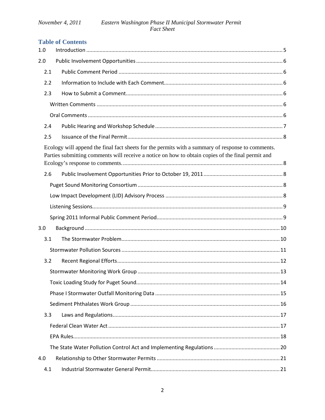## **Table of Contents**

| 1.0 |                                                                                                                                                                                                        |  |
|-----|--------------------------------------------------------------------------------------------------------------------------------------------------------------------------------------------------------|--|
| 2.0 |                                                                                                                                                                                                        |  |
| 2.1 |                                                                                                                                                                                                        |  |
| 2.2 |                                                                                                                                                                                                        |  |
| 2.3 |                                                                                                                                                                                                        |  |
|     |                                                                                                                                                                                                        |  |
|     |                                                                                                                                                                                                        |  |
| 2.4 |                                                                                                                                                                                                        |  |
| 2.5 |                                                                                                                                                                                                        |  |
|     | Ecology will append the final fact sheets for the permits with a summary of response to comments.<br>Parties submitting comments will receive a notice on how to obtain copies of the final permit and |  |
| 2.6 |                                                                                                                                                                                                        |  |
|     |                                                                                                                                                                                                        |  |
|     |                                                                                                                                                                                                        |  |
|     |                                                                                                                                                                                                        |  |
|     |                                                                                                                                                                                                        |  |
| 3.0 |                                                                                                                                                                                                        |  |
| 3.1 |                                                                                                                                                                                                        |  |
|     |                                                                                                                                                                                                        |  |
| 3.2 |                                                                                                                                                                                                        |  |
|     |                                                                                                                                                                                                        |  |
|     |                                                                                                                                                                                                        |  |
|     |                                                                                                                                                                                                        |  |
|     |                                                                                                                                                                                                        |  |
| 3.3 |                                                                                                                                                                                                        |  |
|     |                                                                                                                                                                                                        |  |
|     |                                                                                                                                                                                                        |  |
|     |                                                                                                                                                                                                        |  |
| 4.0 |                                                                                                                                                                                                        |  |
| 4.1 |                                                                                                                                                                                                        |  |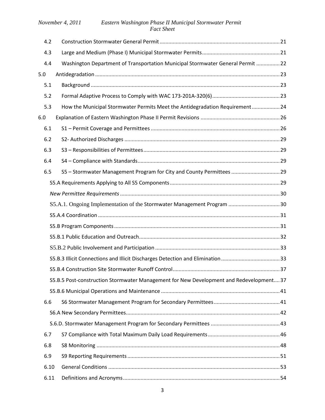| 4.2  |                                                                                        |  |
|------|----------------------------------------------------------------------------------------|--|
| 4.3  |                                                                                        |  |
| 4.4  | Washington Department of Transportation Municipal Stormwater General Permit 22         |  |
| 5.0  |                                                                                        |  |
| 5.1  |                                                                                        |  |
| 5.2  |                                                                                        |  |
| 5.3  | How the Municipal Stormwater Permits Meet the Antidegradation Requirement24            |  |
| 6.0  |                                                                                        |  |
| 6.1  |                                                                                        |  |
| 6.2  |                                                                                        |  |
| 6.3  |                                                                                        |  |
| 6.4  |                                                                                        |  |
| 6.5  | S5 - Stormwater Management Program for City and County Permittees  29                  |  |
|      |                                                                                        |  |
|      |                                                                                        |  |
|      |                                                                                        |  |
|      |                                                                                        |  |
|      |                                                                                        |  |
|      |                                                                                        |  |
|      |                                                                                        |  |
|      |                                                                                        |  |
|      |                                                                                        |  |
|      |                                                                                        |  |
|      | S5.B.5 Post-construction Stormwater Management for New Development and Redevelopment37 |  |
|      |                                                                                        |  |
| 6.6  |                                                                                        |  |
|      |                                                                                        |  |
|      |                                                                                        |  |
| 6.7  |                                                                                        |  |
| 6.8  |                                                                                        |  |
| 6.9  |                                                                                        |  |
| 6.10 |                                                                                        |  |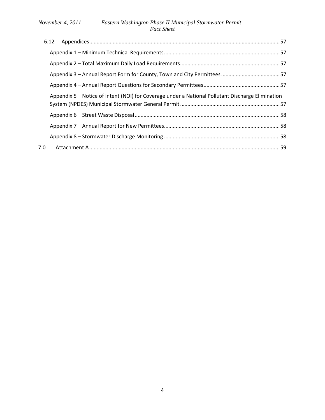|     | 6.12 |                                                                                                   |  |
|-----|------|---------------------------------------------------------------------------------------------------|--|
|     |      |                                                                                                   |  |
|     |      |                                                                                                   |  |
|     |      |                                                                                                   |  |
|     |      |                                                                                                   |  |
|     |      | Appendix 5 – Notice of Intent (NOI) for Coverage under a National Pollutant Discharge Elimination |  |
|     |      |                                                                                                   |  |
|     |      |                                                                                                   |  |
|     |      |                                                                                                   |  |
| 7.0 |      |                                                                                                   |  |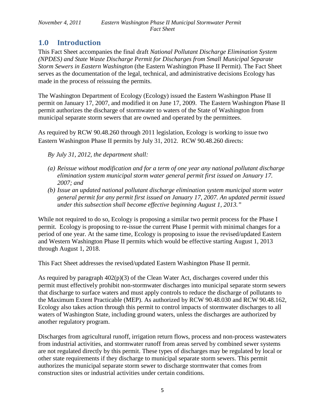# <span id="page-4-0"></span>**1.0 Introduction**

This Fact Sheet accompanies the final draft *National Pollutant Discharge Elimination System (NPDES) and State Waste Discharge Permit for Discharges from Small Municipal Separate Storm Sewers in Eastern Washington* (the Eastern Washington Phase II Permit). The Fact Sheet serves as the documentation of the legal, technical, and administrative decisions Ecology has made in the process of reissuing the permits.

The Washington Department of Ecology (Ecology) issued the Eastern Washington Phase II permit on January 17, 2007, and modified it on June 17, 2009. The Eastern Washington Phase II permit authorizes the discharge of stormwater to waters of the State of Washington from municipal separate storm sewers that are owned and operated by the permittees.

As required by RCW 90.48.260 through 2011 legislation, Ecology is working to issue two Eastern Washington Phase II permits by July 31, 2012. RCW 90.48.260 directs:

*By July 31, 2012, the department shall:*

- *(a) Reissue without modification and for a term of one year any national pollutant discharge elimination system municipal storm water general permit first issued on January 17. 2007; and*
- *(b) Issue an updated national pollutant discharge elimination system municipal storm water general permit for any permit first issued on January 17, 2007. An updated permit issued under this subsection shall become effective beginning August 1, 2013."*

While not required to do so, Ecology is proposing a similar two permit process for the Phase I permit. Ecology is proposing to re-issue the current Phase I permit with minimal changes for a period of one year. At the same time, Ecology is proposing to issue the revised/updated Eastern and Western Washington Phase II permits which would be effective starting August 1, 2013 through August 1, 2018.

This Fact Sheet addresses the revised/updated Eastern Washington Phase II permit.

As required by paragraph  $402(p)(3)$  of the Clean Water Act, discharges covered under this permit must effectively prohibit non-stormwater discharges into municipal separate storm sewers that discharge to surface waters and must apply controls to reduce the discharge of pollutants to the Maximum Extent Practicable (MEP). As authorized by RCW 90.48.030 and RCW 90.48.162, Ecology also takes action through this permit to control impacts of stormwater discharges to all waters of Washington State, including ground waters, unless the discharges are authorized by another regulatory program.

Discharges from agricultural runoff, irrigation return flows, process and non-process wastewaters from industrial activities, and stormwater runoff from areas served by combined sewer systems are not regulated directly by this permit. These types of discharges may be regulated by local or other state requirements if they discharge to municipal separate storm sewers. This permit authorizes the municipal separate storm sewer to discharge stormwater that comes from construction sites or industrial activities under certain conditions.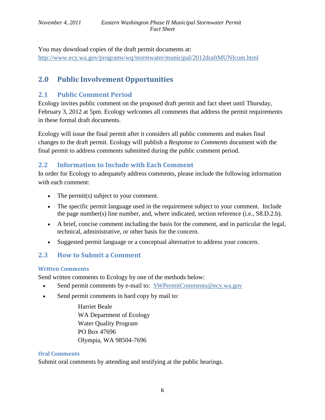You may download copies of the draft permit documents at: <http://www.ecy.wa.gov/programs/wq/stormwater/municipal/2012draftMUNIcom.html>

# <span id="page-5-0"></span>**2.0 Public Involvement Opportunities**

# <span id="page-5-1"></span>**2.1 Public Comment Period**

Ecology invites public comment on the proposed draft permit and fact sheet until Thursday, February 3, 2012 at 5pm. Ecology welcomes all comments that address the permit requirements in these formal draft documents.

Ecology will issue the final permit after it considers all public comments and makes final changes to the draft permit. Ecology will publish a *Response to Comments* document with the final permit to address comments submitted during the public comment period.

# <span id="page-5-2"></span>**2.2 Information to Include with Each Comment**

In order for Ecology to adequately address comments, please include the following information with each comment:

- The permit(s) subject to your comment.
- The specific permit language used in the requirement subject to your comment. Include the page number(s) line number, and, where indicated, section reference (i.e., S8.D.2.b).
- A brief, concise comment including the basis for the comment, and in particular the legal, technical, administrative, or other basis for the concern.
- Suggested permit language or a conceptual alternative to address your concern.

# <span id="page-5-3"></span>**2.3 How to Submit a Comment**

## <span id="page-5-4"></span>**Written Comments**

Send written comments to Ecology by one of the methods below:

- Send permit comments by e-mail to: [SWPermitComments@ecy.wa.gov](mailto:SWPermitComments@ecy.wa.gov)
- Send permit comments in hard copy by mail to:

Harriet Beale WA Department of Ecology Water Quality Program PO Box 47696 Olympia, WA 98504-7696

## <span id="page-5-5"></span>**Oral Comments**

Submit oral comments by attending and testifying at the public hearings.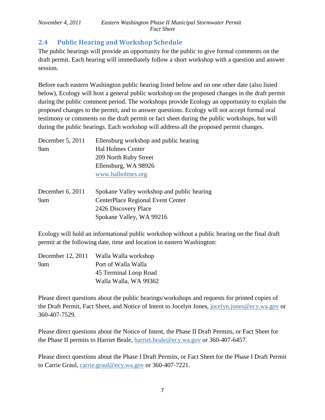# <span id="page-6-0"></span>**2.4 Public Hearing and Workshop Schedule**

The public hearings will provide an opportunity for the public to give formal comments on the draft permit. Each hearing will immediately follow a short workshop with a question and answer session.

Before each eastern Washington public hearing listed below and on one other date (also listed below), Ecology will host a general public workshop on the proposed changes in the draft permit during the public comment period. The workshops provide Ecology an opportunity to explain the proposed changes to the permit, and to answer questions. Ecology will not accept formal oral testimony or comments on the draft permit or fact sheet during the public workshops, but will during the public hearings. Each workshop will address all the proposed permit changes.

| December 5, 2011   | Ellensburg workshop and public hearing     |  |  |  |  |
|--------------------|--------------------------------------------|--|--|--|--|
| 9am                | <b>Hal Holmes Center</b>                   |  |  |  |  |
|                    | 209 North Ruby Street                      |  |  |  |  |
|                    | Ellensburg, WA 98926                       |  |  |  |  |
|                    | www.halholmes.org                          |  |  |  |  |
| December $6, 2011$ | Spokane Valley workshop and public hearing |  |  |  |  |
| 9am                | CenterPlace Regional Event Center          |  |  |  |  |
|                    | 2426 Discovery Place                       |  |  |  |  |
|                    | Spokane Valley, WA 99216                   |  |  |  |  |

Ecology will hold an informational public workshop without a public hearing on the final draft permit at the following date, time and location in eastern Washington:

| December 12, 2011 | Walla Walla workshop  |
|-------------------|-----------------------|
| 9am               | Port of Walla Walla   |
|                   | 45 Terminal Loop Road |
|                   | Walla Walla, WA 99362 |

Please direct questions about the public hearings/workshops and requests for printed copies of the Draft Permit, Fact Sheet, and Notice of Intent to Jocelyn Jones, [jocelyn.jones@ecy.wa.gov](mailto:jocelyn.jones@ecy.wa.gov) or 360-407-7529.

Please direct questions about the Notice of Intent, the Phase II Draft Permits, or Fact Sheet for the Phase II permits to Harriet Beale, [harriet.beale@ecy.wa.gov](mailto:harriet.beale@ecy.wa.gov) or 360-407-6457.

Please direct questions about the Phase I Draft Permits, or Fact Sheet for the Phase I Draft Permit to Carrie Graul, [carrie.graul@ecy.wa.gov](mailto:carrie.graul@ecy.wa.gov) or 360-407-7221.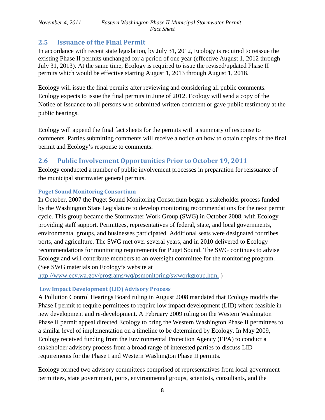## <span id="page-7-0"></span>**2.5 Issuance of the Final Permit**

In accordance with recent state legislation, by July 31, 2012, Ecology is required to reissue the existing Phase II permits unchanged for a period of one year (effective August 1, 2012 through July 31, 2013). At the same time, Ecology is required to issue the revised/updated Phase II permits which would be effective starting August 1, 2013 through August 1, 2018.

Ecology will issue the final permits after reviewing and considering all public comments. Ecology expects to issue the final permits in June of 2012. Ecology will send a copy of the Notice of Issuance to all persons who submitted written comment or gave public testimony at the public hearings.

<span id="page-7-1"></span>Ecology will append the final fact sheets for the permits with a summary of response to comments. Parties submitting comments will receive a notice on how to obtain copies of the final permit and Ecology's response to comments.

# <span id="page-7-2"></span>**2.6 Public Involvement Opportunities Prior to October 19, 2011**

Ecology conducted a number of public involvement processes in preparation for reissuance of the municipal stormwater general permits.

## <span id="page-7-3"></span>**Puget Sound Monitoring Consortium**

In October, 2007 the Puget Sound Monitoring Consortium began a stakeholder process funded by the Washington State Legislature to develop monitoring recommendations for the next permit cycle. This group became the Stormwater Work Group (SWG) in October 2008, with Ecology providing staff support. Permittees, representatives of federal, state, and local governments, environmental groups, and businesses participated. Additional seats were designated for tribes, ports, and agriculture. The SWG met over several years, and in 2010 delivered to Ecology recommendations for monitoring requirements for Puget Sound. The SWG continues to advise Ecology and will contribute members to an oversight committee for the monitoring program. (See SWG materials on Ecology's website at

<http://www.ecy.wa.gov/programs/wq/psmonitoring/swworkgroup.html> )

## <span id="page-7-4"></span>**Low Impact Development (LID) Advisory Process**

A Pollution Control Hearings Board ruling in August 2008 mandated that Ecology modify the Phase I permit to require permittees to require low impact development (LID) where feasible in new development and re-development. A February 2009 ruling on the Western Washington Phase II permit appeal directed Ecology to bring the Western Washington Phase II permittees to a similar level of implementation on a timeline to be determined by Ecology. In May 2009, Ecology received funding from the Environmental Protection Agency (EPA) to conduct a stakeholder advisory process from a broad range of interested parties to discuss LID requirements for the Phase I and Western Washington Phase II permits.

Ecology formed two advisory committees comprised of representatives from local government permittees, state government, ports, environmental groups, scientists, consultants, and the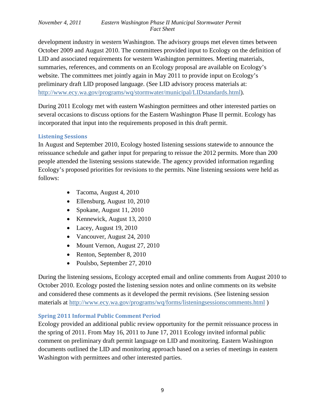development industry in western Washington. The advisory groups met eleven times between October 2009 and August 2010. The committees provided input to Ecology on the definition of LID and associated requirements for western Washington permittees. Meeting materials, summaries, references, and comments on an Ecology proposal are available on Ecology's website. The committees met jointly again in May 2011 to provide input on Ecology's preliminary draft LID proposed language. (See LID advisory process materials at: [http://www.ecy.wa.gov/programs/wq/stormwater/municipal/LIDstandards.html\)](http://www.ecy.wa.gov/programs/wq/stormwater/municipal/LIDstandards.html).

During 2011 Ecology met with eastern Washington permittees and other interested parties on several occasions to discuss options for the Eastern Washington Phase II permit. Ecology has incorporated that input into the requirements proposed in this draft permit.

### <span id="page-8-0"></span>**Listening Sessions**

In August and September 2010, Ecology hosted listening sessions statewide to announce the reissuance schedule and gather input for preparing to reissue the 2012 permits. More than 200 people attended the listening sessions statewide. The agency provided information regarding Ecology's proposed priorities for revisions to the permits. Nine listening sessions were held as follows:

- Tacoma, August 4, 2010
- Ellensburg, August 10, 2010
- Spokane, August 11, 2010
- Kennewick, August 13, 2010
- Lacey, August 19, 2010
- Vancouver, August 24, 2010
- Mount Vernon, August 27, 2010
- Renton, September 8, 2010
- Poulsbo, September 27, 2010

During the listening sessions, Ecology accepted email and online comments from August 2010 to October 2010. Ecology posted the listening session notes and online comments on its website and considered these comments as it developed the permit revisions. (See listening session materials at<http://www.ecy.wa.gov/programs/wq/forms/listeningsessionscomments.html> )

## <span id="page-8-1"></span>**Spring 2011 Informal Public Comment Period**

Ecology provided an additional public review opportunity for the permit reissuance process in the spring of 2011. From May 16, 2011 to June 17, 2011 Ecology invited informal public comment on preliminary draft permit language on LID and monitoring. Eastern Washington documents outlined the LID and monitoring approach based on a series of meetings in eastern Washington with permittees and other interested parties.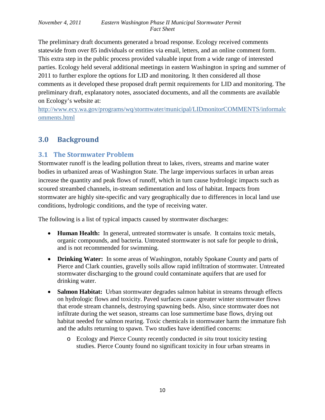The preliminary draft documents generated a broad response. Ecology received comments statewide from over 85 individuals or entities via email, letters, and an online comment form. This extra step in the public process provided valuable input from a wide range of interested parties. Ecology held several additional meetings in eastern Washington in spring and summer of 2011 to further explore the options for LID and monitoring. It then considered all those comments as it developed these proposed draft permit requirements for LID and monitoring. The preliminary draft, explanatory notes, associated documents, and all the comments are available on Ecology's website at:

[http://www.ecy.wa.gov/programs/wq/stormwater/municipal/LIDmonitorCOMMENTS/informalc](http://www.ecy.wa.gov/programs/wq/stormwater/municipal/LIDmonitorCOMMENTS/informalcomments.html) [omments.html](http://www.ecy.wa.gov/programs/wq/stormwater/municipal/LIDmonitorCOMMENTS/informalcomments.html)

# <span id="page-9-0"></span>**3.0 Background**

# <span id="page-9-1"></span>**3.1 The Stormwater Problem**

Stormwater runoff is the leading pollution threat to lakes, rivers, streams and marine water bodies in urbanized areas of Washington State. The large impervious surfaces in urban areas increase the quantity and peak flows of runoff, which in turn cause hydrologic impacts such as scoured streambed channels, in-stream sedimentation and loss of habitat. Impacts from stormwater are highly site-specific and vary geographically due to differences in local land use conditions, hydrologic conditions, and the type of receiving water.

The following is a list of typical impacts caused by stormwater discharges:

- **Human Health:** In general, untreated stormwater is unsafe. It contains toxic metals, organic compounds, and bacteria. Untreated stormwater is not safe for people to drink, and is not recommended for swimming.
- **Drinking Water:** In some areas of Washington, notably Spokane County and parts of Pierce and Clark counties, gravelly soils allow rapid infiltration of stormwater. Untreated stormwater discharging to the ground could contaminate aquifers that are used for drinking water.
- **Salmon Habitat:** Urban stormwater degrades salmon habitat in streams through effects on hydrologic flows and toxicity. Paved surfaces cause greater winter stormwater flows that erode stream channels, destroying spawning beds. Also, since stormwater does not infiltrate during the wet season, streams can lose summertime base flows, drying out habitat needed for salmon rearing. Toxic chemicals in stormwater harm the immature fish and the adults returning to spawn. Two studies have identified concerns:
	- o Ecology and Pierce County recently conducted *in situ* trout toxicity testing studies. Pierce County found no significant toxicity in four urban streams in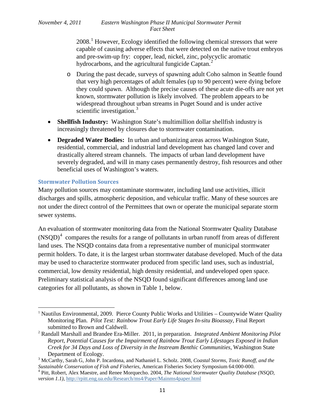2008.[1](#page-10-1) However, Ecology identified the following chemical stressors that were capable of causing adverse effects that were detected on the native trout embryos and pre-swim-up fry: copper, lead, nickel, zinc, polycyclic aromatic hydrocarbons, and the agricultural fungicide Captan.<sup>[2](#page-10-2)</sup>

- o During the past decade, surveys of spawning adult Coho salmon in Seattle found that very high percentages of adult females (up to 90 percent) were dying before they could spawn. Although the precise causes of these acute die-offs are not yet known, stormwater pollution is likely involved. The problem appears to be widespread throughout urban streams in Puget Sound and is under active scientific investigation. $3$
- **Shellfish Industry:** Washington State's multimillion dollar shellfish industry is increasingly threatened by closures due to stormwater contamination.
- **Degraded Water Bodies:** In urban and urbanizing areas across Washington State, residential, commercial, and industrial land development has changed land cover and drastically altered stream channels. The impacts of urban land development have severely degraded, and will in many cases permanently destroy, fish resources and other beneficial uses of Washington's waters.

### <span id="page-10-0"></span>**Stormwater Pollution Sources**

l

Many pollution sources may contaminate stormwater, including land use activities, illicit discharges and spills, atmospheric deposition, and vehicular traffic. Many of these sources are not under the direct control of the Permittees that own or operate the municipal separate storm sewer systems.

An evaluation of stormwater monitoring data from the National Stormwater Quality Database  $(NSQD)^4$  $(NSQD)^4$  compares the results for a range of pollutants in urban runoff from areas of different land uses. The NSQD contains data from a representative number of municipal stormwater permit holders. To date, it is the largest urban stormwater database developed. Much of the data may be used to characterize stormwater produced from specific land uses, such as industrial, commercial, low density residential, high density residential, and undeveloped open space. Preliminary statistical analysis of the NSQD found significant differences among land use categories for all pollutants, as shown in [Table 1](#page-11-1), below.

<span id="page-10-1"></span><sup>&</sup>lt;sup>1</sup> Nautilus Environmental, 2009. Pierce County Public Works and Utilities – Countywide Water Quality Monitoring Plan. *Pilot Test: Rainbow Trout Early Life Stages In-situ Bioassay*, Final Report submitted to Brown and Caldwell.

<span id="page-10-2"></span><sup>2</sup> Randall Marshall and Brandee Era-Miller. 2011, in preparation. *Integrated Ambient Monitoring Pilot Report, Potential Causes for the Impairment of Rainbow Trout Early Lifestages Exposed in Indian Creek for 34 Days and Loss of Diversity in the Instream Benthic Communities*, Washington State Department of Ecology. <sup>3</sup> McCarthy, Sarah G, John P. Incardona, and Nathaniel L. Scholz. 2008, *Coastal Storms, Toxic Runoff, and the* 

<span id="page-10-3"></span>*Sustainable Conservation of Fish and Fisheries,* American Fisheries Society Symposium 64:000-000. <sup>4</sup> Pitt, Robert, Alex Maestre, and Renee Morquecho. 2004, *The National Stormwater Quality Database (NSQD,* 

<span id="page-10-4"></span>*version 1.1),* <http://rpitt.eng.ua.edu/Research/ms4/Paper/Mainms4paper.html>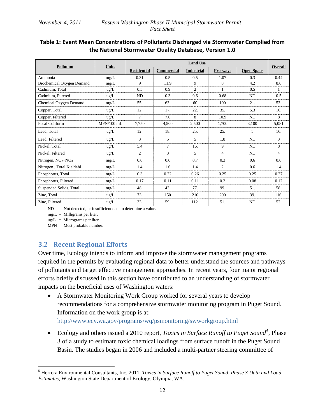## <span id="page-11-1"></span>**Table 1: Event Mean Concentrations of Pollutants Discharged via Stormwater Complied from the National Stormwater Quality Database, Version 1.0**

|                           |               | <b>Land Use</b>    |                   |                   |                 |                   |                          |  |  |
|---------------------------|---------------|--------------------|-------------------|-------------------|-----------------|-------------------|--------------------------|--|--|
| <b>Pollutant</b>          | <b>Units</b>  | <b>Residential</b> | <b>Commercial</b> | <b>Industrial</b> | <b>Freeways</b> | <b>Open Space</b> | Overall                  |  |  |
| Ammonia                   | mg/L          | 0.31               | 0.5               | 0.5               | 1.07            | 0.3               | 0.44                     |  |  |
| Biochemical Oxygen Demand | mg/L          | 9                  | 11.9              | 9                 | 8               | 4.2               | 8.6                      |  |  |
| Cadmium, Total            | $\text{ug/L}$ | 0.5                | 0.9               |                   |                 | 0.5               |                          |  |  |
| Cadmium, Filtered         | $\text{ug/L}$ | <b>ND</b>          | 0.3               | 0.6               | 0.68            | <b>ND</b>         | 0.5                      |  |  |
| Chemical Oxygen Demand    | mg/L          | 55.                | 63.               | 60                | 100             | 21.               | 53.                      |  |  |
| Copper, Total             | ug/L          | 12.                | 17.               | 22.               | 35.             | 5.3               | 16.                      |  |  |
| Copper, Filtered          | $\text{ug/L}$ | $\tau$             | 7.6               | 8                 | 10.9            | <b>ND</b>         | 8                        |  |  |
| <b>Fecal Coliform</b>     | $MPN/100$ mL  | 7.750              | 4,500             | 2,500             | 1,700           | 3,100             | 5,081                    |  |  |
| Lead. Total               | ug/L          | 12.                | 18.               | 25.               | 25.             | 5                 | 16.                      |  |  |
| Lead, Filtered            | $\text{ug/L}$ | 3                  | 5                 | 5                 | 1.8             | <b>ND</b>         | 3                        |  |  |
| Nickel, Total             | ug/L          | 5.4                | $\tau$            | 16.               | 9               | ND                | 8                        |  |  |
| Nickel, Filtered          | ug/L          | $\overline{2}$     | 3                 | 5                 | 4               | <b>ND</b>         | $\overline{\mathcal{A}}$ |  |  |
| Nitrogen, $NO2+NO3$       | mg/L          | 0.6                | 0.6               | 0.7               | 0.3             | 0.6               | 0.6                      |  |  |
| Nitrogen, Total Kjeldahl  | mg/L          | 1.4                | 1.6               | 1.4               | $\overline{c}$  | 0.6               | 1.4                      |  |  |
| Phosphorus, Total         | mg/L          | 0.3                | 0.22              | 0.26              | 0.25            | 0.25              | 0.27                     |  |  |
| Phosphorus, Filtered      | mg/L          | 0.17               | 0.11              | 0.11              | 0.2             | 0.08              | 0.12                     |  |  |
| Suspended Solids, Total   | mg/L          | 48.                | 43.               | 77.               | 99.             | 51.               | 58.                      |  |  |
| Zinc, Total               | ug/L          | 73.                | 150               | 210               | 200             | 39.               | 116.                     |  |  |
| Zinc, Filtered            | $\text{ug/L}$ | 33.                | 59.               | 112.              | 51.             | ND                | 52.                      |  |  |

ND = Not detected, or insufficient data to determine a value.

 $mg/L =$  Milligrams per liter.

 $ug/L$  = Micrograms per liter.

ı

MPN = Most probable number.

# <span id="page-11-0"></span>**3.2 Recent Regional Efforts**

Over time, Ecology intends to inform and improve the stormwater management programs required in the permits by evaluating regional data to better understand the sources and pathways of pollutants and target effective management approaches. In recent years, four major regional efforts briefly discussed in this section have contributed to an understanding of stormwater impacts on the beneficial uses of Washington waters:

• A Stormwater Monitoring Work Group worked for several years to develop recommendations for a comprehensive stormwater monitoring program in Puget Sound. Information on the work group is at:

<http://www.ecy.wa.gov/programs/wq/psmonitoring/swworkgroup.html>

• Ecology and others issued a 2010 report, *Toxics in Surface Runoff to Puget Sound*<sup>[5](#page-11-2)</sup>, Phase 3 of a study to estimate toxic chemical loadings from surface runoff in the Puget Sound Basin. The studies began in 2006 and included a multi-partner steering committee of

<span id="page-11-2"></span><sup>5</sup> Herrera Environmental Consultants, Inc. 2011. *Toxics in Surface Runoff to Puget Sound, Phase 3 Data and Load Estimates,* Washington State Department of Ecology, Olympia, WA.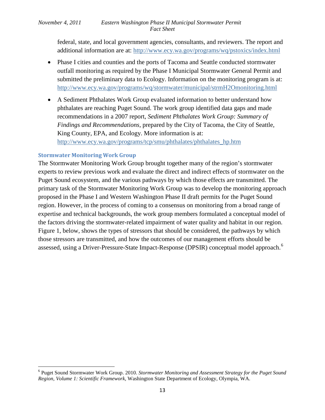federal, state, and local government agencies, consultants, and reviewers. The report and additional information are at: <http://www.ecy.wa.gov/programs/wq/pstoxics/index.html>

- Phase I cities and counties and the ports of Tacoma and Seattle conducted stormwater outfall monitoring as required by the Phase I Municipal Stormwater General Permit and submitted the preliminary data to Ecology. Information on the monitoring program is at: <http://www.ecy.wa.gov/programs/wq/stormwater/municipal/strmH2Omonitoring.html>
- A Sediment Phthalates Work Group evaluated information to better understand how phthalates are reaching Puget Sound. The work group identified data gaps and made recommendations in a 2007 report, *Sediment Phthalates Work Group: Summary of Findings and Recommendations,* prepared by the City of Tacoma, the City of Seattle, King County, EPA, and Ecology. More information is at: [http://www.ecy.wa.gov/programs/tcp/smu/phthalates/phthalates\\_hp.htm](http://www.ecy.wa.gov/programs/tcp/smu/phthalates/phthalates_hp.htm)

## <span id="page-12-0"></span>**Stormwater Monitoring Work Group**

ı

The Stormwater Monitoring Work Group brought together many of the region's stormwater experts to review previous work and evaluate the direct and indirect effects of stormwater on the Puget Sound ecosystem, and the various pathways by which those effects are transmitted. The primary task of the Stormwater Monitoring Work Group was to develop the monitoring approach proposed in the Phase I and Western Washington Phase II draft permits for the Puget Sound region. However, in the process of coming to a consensus on monitoring from a broad range of expertise and technical backgrounds, the work group members formulated a conceptual model of the factors driving the stormwater-related impairment of water quality and habitat in our region. [Figure 1,](#page-13-1) below, shows the types of stressors that should be considered, the pathways by which those stressors are transmitted, and how the outcomes of our management efforts should be assessed, using a Driver-Pressure-State Impact-Response (DPSIR) conceptual model approach.<sup>[6](#page-12-1)</sup>

<span id="page-12-1"></span><sup>6</sup> Puget Sound Stormwater Work Group. 2010. *Stormwater Monitoring and Assessment Strategy for the Puget Sound Region, Volume 1: Scientific Framework,* Washington State Department of Ecology, Olympia, WA.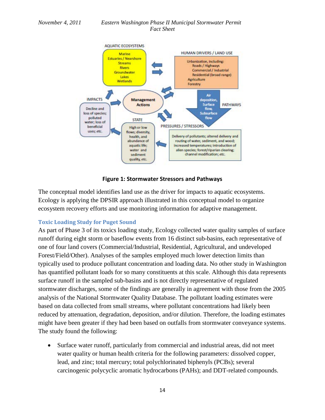

**Figure 1: Stormwater Stressors and Pathways**

<span id="page-13-1"></span>The conceptual model identifies land use as the driver for impacts to aquatic ecosystems. Ecology is applying the DPSIR approach illustrated in this conceptual model to organize ecosystem recovery efforts and use monitoring information for adaptive management.

#### <span id="page-13-0"></span>**Toxic Loading Study for Puget Sound**

As part of Phase 3 of its toxics loading study, Ecology collected water quality samples of surface runoff during eight storm or baseflow events from 16 distinct sub-basins, each representative of one of four land covers (Commercial/Industrial, Residential, Agricultural, and undeveloped Forest/Field/Other). Analyses of the samples employed much lower detection limits than typically used to produce pollutant concentration and loading data. No other study in Washington has quantified pollutant loads for so many constituents at this scale. Although this data represents surface runoff in the sampled sub-basins and is not directly representative of regulated stormwater discharges, some of the findings are generally in agreement with those from the 2005 analysis of the National Stormwater Quality Database. The pollutant loading estimates were based on data collected from small streams, where pollutant concentrations had likely been reduced by attenuation, degradation, deposition, and/or dilution. Therefore, the loading estimates might have been greater if they had been based on outfalls from stormwater conveyance systems. The study found the following:

• Surface water runoff, particularly from commercial and industrial areas, did not meet water quality or human health criteria for the following parameters: dissolved copper, lead, and zinc; total mercury; total polychlorinated biphenyls (PCBs); several carcinogenic polycyclic aromatic hydrocarbons (PAHs); and DDT-related compounds.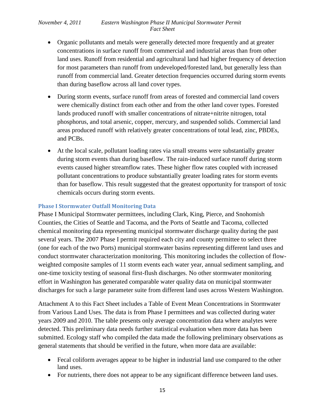- Organic pollutants and metals were generally detected more frequently and at greater concentrations in surface runoff from commercial and industrial areas than from other land uses. Runoff from residential and agricultural land had higher frequency of detection for most parameters than runoff from undeveloped/forested land, but generally less than runoff from commercial land. Greater detection frequencies occurred during storm events than during baseflow across all land cover types.
- During storm events, surface runoff from areas of forested and commercial land covers were chemically distinct from each other and from the other land cover types. Forested lands produced runoff with smaller concentrations of nitrate+nitrite nitrogen, total phosphorus, and total arsenic, copper, mercury, and suspended solids. Commercial land areas produced runoff with relatively greater concentrations of total lead, zinc, PBDEs, and PCBs.
- At the local scale, pollutant loading rates via small streams were substantially greater during storm events than during baseflow. The rain-induced surface runoff during storm events caused higher streamflow rates. These higher flow rates coupled with increased pollutant concentrations to produce substantially greater loading rates for storm events than for baseflow. This result suggested that the greatest opportunity for transport of toxic chemicals occurs during storm events.

#### <span id="page-14-0"></span>**Phase I Stormwater Outfall Monitoring Data**

Phase I Municipal Stormwater permittees, including Clark, King, Pierce, and Snohomish Counties, the Cities of Seattle and Tacoma, and the Ports of Seattle and Tacoma, collected chemical monitoring data representing municipal stormwater discharge quality during the past several years. The 2007 Phase I permit required each city and county permittee to select three (one for each of the two Ports) municipal stormwater basins representing different land uses and conduct stormwater characterization monitoring. This monitoring includes the collection of flowweighted composite samples of 11 storm events each water year, annual sediment sampling, and one-time toxicity testing of seasonal first-flush discharges. No other stormwater monitoring effort in Washington has generated comparable water quality data on municipal stormwater discharges for such a large parameter suite from different land uses across Western Washington.

Attachment A to this Fact Sheet includes a Table of Event Mean Concentrations in Stormwater from Various Land Uses. The data is from Phase I permittees and was collected during water years 2009 and 2010. The table presents only average concentration data where analytes were detected. This preliminary data needs further statistical evaluation when more data has been submitted. Ecology staff who compiled the data made the following preliminary observations as general statements that should be verified in the future, when more data are available:

- Fecal coliform averages appear to be higher in industrial land use compared to the other land uses.
- For nutrients, there does not appear to be any significant difference between land uses.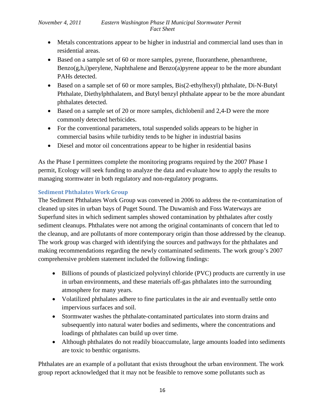- Metals concentrations appear to be higher in industrial and commercial land uses than in residential areas.
- Based on a sample set of 60 or more samples, pyrene, fluoranthene, phenanthrene, Benzo(g,h,i)perylene, Naphthalene and Benzo(a)pyrene appear to be the more abundant PAHs detected.
- Based on a sample set of 60 or more samples, Bis(2-ethylhexyl) phthalate, Di-N-Butyl Phthalate, Diethylphthalatem, and Butyl benzyl phthalate appear to be the more abundant phthalates detected.
- Based on a sample set of 20 or more samples, dichlobenil and 2,4-D were the more commonly detected herbicides.
- For the conventional parameters, total suspended solids appears to be higher in commercial basins while turbidity tends to be higher in industrial basins
- Diesel and motor oil concentrations appear to be higher in residential basins

As the Phase I permittees complete the monitoring programs required by the 2007 Phase I permit, Ecology will seek funding to analyze the data and evaluate how to apply the results to managing stormwater in both regulatory and non-regulatory programs.

## <span id="page-15-0"></span>**Sediment Phthalates Work Group**

The Sediment Phthalates Work Group was convened in 2006 to address the re-contamination of cleaned up sites in urban bays of Puget Sound. The Duwamish and Foss Waterways are Superfund sites in which sediment samples showed contamination by phthalates after costly sediment cleanups. Phthalates were not among the original contaminants of concern that led to the cleanup, and are pollutants of more contemporary origin than those addressed by the cleanup. The work group was charged with identifying the sources and pathways for the phthalates and making recommendations regarding the newly contaminated sediments. The work group's 2007 comprehensive problem statement included the following findings:

- Billions of pounds of plasticized polyvinyl chloride (PVC) products are currently in use in urban environments, and these materials off-gas phthalates into the surrounding atmosphere for many years.
- Volatilized phthalates adhere to fine particulates in the air and eventually settle onto impervious surfaces and soil.
- Stormwater washes the phthalate-contaminated particulates into storm drains and subsequently into natural water bodies and sediments, where the concentrations and loadings of phthalates can build up over time.
- Although phthalates do not readily bioaccumulate, large amounts loaded into sediments are toxic to benthic organisms.

Phthalates are an example of a pollutant that exists throughout the urban environment. The work group report acknowledged that it may not be feasible to remove some pollutants such as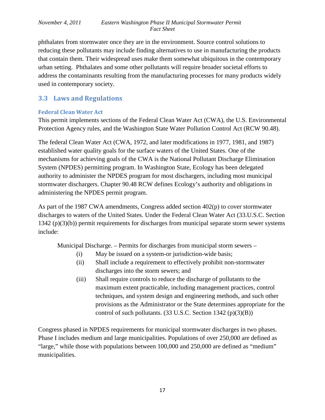phthalates from stormwater once they are in the environment. Source control solutions to reducing these pollutants may include finding alternatives to use in manufacturing the products that contain them. Their widespread uses make them somewhat ubiquitous in the contemporary urban setting. Phthalates and some other pollutants will require broader societal efforts to address the contaminants resulting from the manufacturing processes for many products widely used in contemporary society.

## <span id="page-16-0"></span>**3.3 Laws and Regulations**

### <span id="page-16-1"></span>**Federal Clean Water Act**

This permit implements sections of the Federal Clean Water Act (CWA), the U.S. Environmental Protection Agency rules, and the Washington State Water Pollution Control Act (RCW 90.48).

The federal Clean Water Act (CWA, 1972, and later modifications in 1977, 1981, and 1987) established water quality goals for the surface waters of the United States. One of the mechanisms for achieving goals of the CWA is the National Pollutant Discharge Elimination System (NPDES) permitting program. In Washington State, Ecology has been delegated authority to administer the NPDES program for most dischargers, including most municipal stormwater dischargers. Chapter 90.48 RCW defines Ecology's authority and obligations in administering the NPDES permit program.

As part of the 1987 CWA amendments, Congress added section 402(p) to cover stormwater discharges to waters of the United States. Under the Federal Clean Water Act (33.U.S.C. Section 1342 (p)(3)(b)) permit requirements for discharges from municipal separate storm sewer systems include:

Municipal Discharge. – Permits for discharges from municipal storm sewers –

- (i) May be issued on a system-or jurisdiction-wide basis;
- (ii) Shall include a requirement to effectively prohibit non-stormwater discharges into the storm sewers; and
- (iii) Shall require controls to reduce the discharge of pollutants to the maximum extent practicable, including management practices, control techniques, and system design and engineering methods, and such other provisions as the Administrator or the State determines appropriate for the control of such pollutants. (33 U.S.C. Section 1342 (p)(3)(B))

Congress phased in NPDES requirements for municipal stormwater discharges in two phases. Phase I includes medium and large municipalities. Populations of over 250,000 are defined as "large," while those with populations between 100,000 and 250,000 are defined as "medium" municipalities.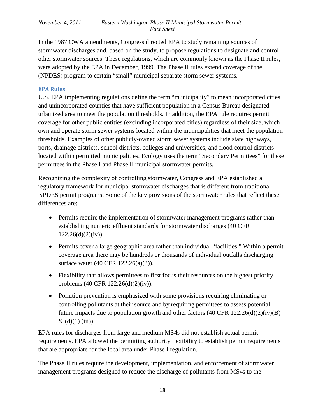In the 1987 CWA amendments, Congress directed EPA to study remaining sources of stormwater discharges and, based on the study, to propose regulations to designate and control other stormwater sources. These regulations, which are commonly known as the Phase II rules, were adopted by the EPA in December, 1999. The Phase II rules extend coverage of the (NPDES) program to certain "small" municipal separate storm sewer systems.

#### <span id="page-17-0"></span>**EPA Rules**

U.S. EPA implementing regulations define the term "municipality" to mean incorporated cities and unincorporated counties that have sufficient population in a Census Bureau designated urbanized area to meet the population thresholds. In addition, the EPA rule requires permit coverage for other public entities (excluding incorporated cities) regardless of their size, which own and operate storm sewer systems located within the municipalities that meet the population thresholds. Examples of other publicly-owned storm sewer systems include state highways, ports, drainage districts, school districts, colleges and universities, and flood control districts located within permitted municipalities. Ecology uses the term "Secondary Permittees" for these permittees in the Phase I and Phase II municipal stormwater permits.

Recognizing the complexity of controlling stormwater, Congress and EPA established a regulatory framework for municipal stormwater discharges that is different from traditional NPDES permit programs. Some of the key provisions of the stormwater rules that reflect these differences are:

- Permits require the implementation of stormwater management programs rather than establishing numeric effluent standards for stormwater discharges (40 CFR  $122.26(d)(2)(iv)$ .
- Permits cover a large geographic area rather than individual "facilities." Within a permit coverage area there may be hundreds or thousands of individual outfalls discharging surface water (40 CFR 122.26(a)(3)).
- Flexibility that allows permittees to first focus their resources on the highest priority problems (40 CFR 122.26(d)(2)(iv)).
- Pollution prevention is emphasized with some provisions requiring eliminating or controlling pollutants at their source and by requiring permittees to assess potential future impacts due to population growth and other factors  $(40 \text{ CFR } 122.26(d)(2)(iv)(B))$  $& (d)(1)$  (iii)).

EPA rules for discharges from large and medium MS4s did not establish actual permit requirements. EPA allowed the permitting authority flexibility to establish permit requirements that are appropriate for the local area under Phase I regulation.

The Phase II rules require the development, implementation, and enforcement of stormwater management programs designed to reduce the discharge of pollutants from MS4s to the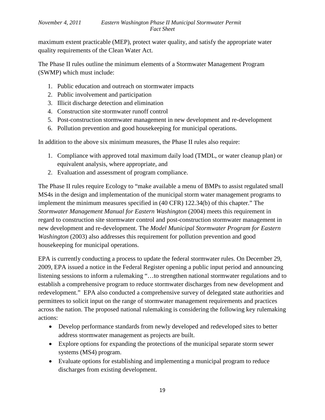maximum extent practicable (MEP), protect water quality, and satisfy the appropriate water quality requirements of the Clean Water Act.

The Phase II rules outline the minimum elements of a Stormwater Management Program (SWMP) which must include:

- 1. Public education and outreach on stormwater impacts
- 2. Public involvement and participation
- 3. Illicit discharge detection and elimination
- 4. Construction site stormwater runoff control
- 5. Post-construction stormwater management in new development and re-development
- 6. Pollution prevention and good housekeeping for municipal operations.

In addition to the above six minimum measures, the Phase II rules also require:

- 1. Compliance with approved total maximum daily load (TMDL, or water cleanup plan) or equivalent analysis, where appropriate, and
- 2. Evaluation and assessment of program compliance.

The Phase II rules require Ecology to "make available a menu of BMPs to assist regulated small MS4s in the design and implementation of the municipal storm water management programs to implement the minimum measures specified in (40 CFR) 122.34(b) of this chapter." The *Stormwater Management Manual for Eastern Washington* (2004) meets this requirement in regard to construction site stormwater control and post-construction stormwater management in new development and re-development. The *Model Municipal Stormwater Program for Eastern Washington* (2003) also addresses this requirement for pollution prevention and good housekeeping for municipal operations.

EPA is currently conducting a process to update the federal stormwater rules. On December 29, 2009, EPA issued a notice in the Federal Register opening a public input period and announcing listening sessions to inform a rulemaking "…to strengthen national stormwater regulations and to establish a comprehensive program to reduce stormwater discharges from new development and redevelopment." EPA also conducted a comprehensive survey of delegated state authorities and permittees to solicit input on the range of stormwater management requirements and practices across the nation. The proposed national rulemaking is considering the following key rulemaking actions:

- Develop performance standards from newly developed and redeveloped sites to better address stormwater management as projects are built.
- Explore options for expanding the protections of the municipal separate storm sewer systems (MS4) program.
- Evaluate options for establishing and implementing a municipal program to reduce discharges from existing development.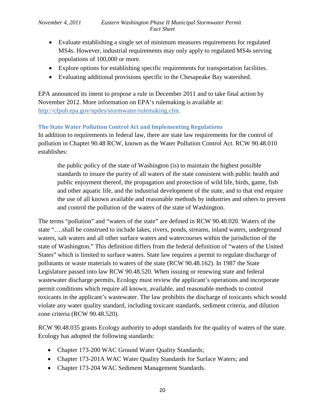- Evaluate establishing a single set of minimum measures requirements for regulated MS4s. However, industrial requirements may only apply to regulated MS4s serving populations of 100,000 or more.
- Explore options for establishing specific requirements for transportation facilities.
- Evaluating additional provisions specific to the Chesapeake Bay watershed.

EPA announced its intent to propose a rule in December 2011 and to take final action by November 2012. More information on EPA's rulemaking is available at: <http://cfpub.epa.gov/npdes/stormwater/rulemaking.cfm>.

## <span id="page-19-0"></span>**The State Water Pollution Control Act and Implementing Regulations**

In addition to requirements in federal law, there are state law requirements for the control of pollution in Chapter 90.48 RCW, known as the Water Pollution Control Act. RCW 90.48.010 establishes:

the public policy of the state of Washington (is) to maintain the highest possible standards to insure the purity of all waters of the state consistent with public health and public enjoyment thereof, the propagation and protection of wild life, birds, game, fish and other aquatic life, and the industrial development of the state, and to that end require the use of all known available and reasonable methods by industries and others to prevent and control the pollution of the waters of the state of Washington.

The terms "pollution" and "waters of the state" are defined in RCW 90.48.020. Waters of the state "….shall be construed to include lakes, rivers, ponds, streams, inland waters, underground waters, salt waters and all other surface waters and watercourses within the jurisdiction of the state of Washington." This definition differs from the federal definition of "waters of the United States" which is limited to surface waters. State law requires a permit to regulate discharge of pollutants or waste materials to waters of the state (RCW 90.48.162). In 1987 the State Legislature passed into law RCW 90.48.520. When issuing or renewing state and federal wastewater discharge permits, Ecology must review the applicant's operations and incorporate permit conditions which require all known, available, and reasonable methods to control toxicants in the applicant's wastewater. The law prohibits the discharge of toxicants which would violate any water quality standard, including toxicant standards, sediment criteria, and dilution zone criteria (RCW 90.48.520).

RCW 90.48.035 grants Ecology authority to adopt standards for the quality of waters of the state. Ecology has adopted the following standards:

- Chapter 173-200 WAC Ground Water Quality Standards;
- Chapter 173-201A WAC Water Quality Standards for Surface Waters; and
- Chapter 173-204 WAC Sediment Management Standards.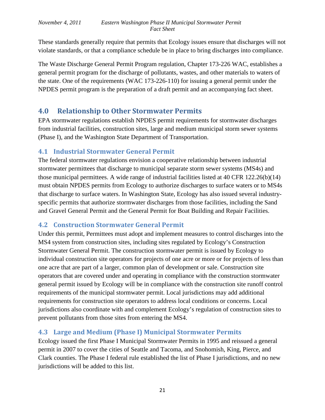These standards generally require that permits that Ecology issues ensure that discharges will not violate standards, or that a compliance schedule be in place to bring discharges into compliance.

The Waste Discharge General Permit Program regulation, Chapter 173-226 WAC, establishes a general permit program for the discharge of pollutants, wastes, and other materials to waters of the state. One of the requirements (WAC 173-226-110) for issuing a general permit under the NPDES permit program is the preparation of a draft permit and an accompanying fact sheet.

# <span id="page-20-0"></span>**4.0 Relationship to Other Stormwater Permits**

EPA stormwater regulations establish NPDES permit requirements for stormwater discharges from industrial facilities, construction sites, large and medium municipal storm sewer systems (Phase I), and the Washington State Department of Transportation.

## <span id="page-20-1"></span>**4.1 Industrial Stormwater General Permit**

The federal stormwater regulations envision a cooperative relationship between industrial stormwater permittees that discharge to municipal separate storm sewer systems (MS4s) and those municipal permittees. A wide range of industrial facilities listed at 40 CFR 122.26(b)(14) must obtain NPDES permits from Ecology to authorize discharges to surface waters or to MS4s that discharge to surface waters. In Washington State, Ecology has also issued several industryspecific permits that authorize stormwater discharges from those facilities, including the Sand and Gravel General Permit and the General Permit for Boat Building and Repair Facilities.

# <span id="page-20-2"></span>**4.2 Construction Stormwater General Permit**

Under this permit, Permittees must adopt and implement measures to control discharges into the MS4 system from construction sites, including sites regulated by Ecology's Construction Stormwater General Permit. The construction stormwater permit is issued by Ecology to individual construction site operators for projects of one acre or more or for projects of less than one acre that are part of a larger, common plan of development or sale. Construction site operators that are covered under and operating in compliance with the construction stormwater general permit issued by Ecology will be in compliance with the construction site runoff control requirements of the municipal stormwater permit. Local jurisdictions may add additional requirements for construction site operators to address local conditions or concerns. Local jurisdictions also coordinate with and complement Ecology's regulation of construction sites to prevent pollutants from those sites from entering the MS4.

# <span id="page-20-3"></span>**4.3 Large and Medium (Phase I) Municipal Stormwater Permits**

Ecology issued the first Phase I Municipal Stormwater Permits in 1995 and reissued a general permit in 2007 to cover the cities of Seattle and Tacoma, and Snohomish, King, Pierce, and Clark counties. The Phase I federal rule established the list of Phase I jurisdictions, and no new jurisdictions will be added to this list.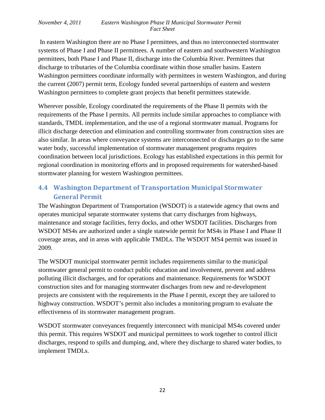In eastern Washington there are no Phase I permittees, and thus no interconnected stormwater systems of Phase I and Phase II permittees. A number of eastern and southwestern Washington permittees, both Phase I and Phase II, discharge into the Columbia River. Permittees that discharge to tributaries of the Columbia coordinate within those smaller basins. Eastern Washington permittees coordinate informally with permittees in western Washington, and during the current (2007) permit term, Ecology funded several partnerships of eastern and western Washington permittees to complete grant projects that benefit permittees statewide.

Wherever possible, Ecology coordinated the requirements of the Phase II permits with the requirements of the Phase I permits. All permits include similar approaches to compliance with standards, TMDL implementation, and the use of a regional stormwater manual. Programs for illicit discharge detection and elimination and controlling stormwater from construction sites are also similar. In areas where conveyance systems are interconnected or discharges go to the same water body, successful implementation of stormwater management programs requires coordination between local jurisdictions. Ecology has established expectations in this permit for regional coordination in monitoring efforts and in proposed requirements for watershed-based stormwater planning for western Washington permittees.

# <span id="page-21-0"></span>**4.4 Washington Department of Transportation Municipal Stormwater General Permit**

The Washington Department of Transportation (WSDOT) is a statewide agency that owns and operates municipal separate stormwater systems that carry discharges from highways, maintenance and storage facilities, ferry docks, and other WSDOT facilities. Discharges from WSDOT MS4s are authorized under a single statewide permit for MS4s in Phase I and Phase II coverage areas, and in areas with applicable TMDLs. The WSDOT MS4 permit was issued in 2009.

The WSDOT municipal stormwater permit includes requirements similar to the municipal stormwater general permit to conduct public education and involvement, prevent and address polluting illicit discharges, and for operations and maintenance. Requirements for WSDOT construction sites and for managing stormwater discharges from new and re-development projects are consistent with the requirements in the Phase I permit, except they are tailored to highway construction. WSDOT's permit also includes a monitoring program to evaluate the effectiveness of its stormwater management program.

WSDOT stormwater conveyances frequently interconnect with municipal MS4s covered under this permit. This requires WSDOT and municipal permittees to work together to control illicit discharges, respond to spills and dumping, and, where they discharge to shared water bodies, to implement TMDLs.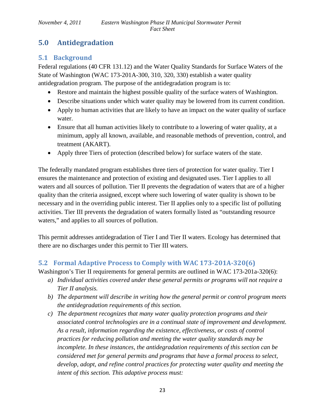# <span id="page-22-0"></span>**5.0 Antidegradation**

# <span id="page-22-1"></span>**5.1 Background**

Federal regulations (40 CFR 131.12) and the Water Quality Standards for Surface Waters of the State of Washington (WAC 173-201A-300, 310, 320, 330) establish a water quality antidegradation program. The purpose of the antidegradation program is to:

- Restore and maintain the highest possible quality of the surface waters of Washington.
- Describe situations under which water quality may be lowered from its current condition.
- Apply to human activities that are likely to have an impact on the water quality of surface water.
- Ensure that all human activities likely to contribute to a lowering of water quality, at a minimum, apply all known, available, and reasonable methods of prevention, control, and treatment (AKART).
- Apply three Tiers of protection (described below) for surface waters of the state.

The federally mandated program establishes three tiers of protection for water quality. Tier I ensures the maintenance and protection of existing and designated uses. Tier I applies to all waters and all sources of pollution. Tier II prevents the degradation of waters that are of a higher quality than the criteria assigned, except where such lowering of water quality is shown to be necessary and in the overriding public interest. Tier II applies only to a specific list of polluting activities. Tier III prevents the degradation of waters formally listed as "outstanding resource waters," and applies to all sources of pollution.

This permit addresses antidegradation of Tier I and Tier II waters. Ecology has determined that there are no discharges under this permit to Tier III waters.

# <span id="page-22-2"></span>**5.2 Formal Adaptive Process to Comply with WAC 173-201A-320(6)**

Washington's Tier II requirements for general permits are outlined in WAC 173-201a-320(6):

- *a) Individual activities covered under these general permits or programs will not require a Tier II analysis.*
- *b) The department will describe in writing how the general permit or control program meets the antidegradation requirements of this section.*
- *c) The department recognizes that many water quality protection programs and their associated control technologies are in a continual state of improvement and development. As a result, information regarding the existence, effectiveness, or costs of control practices for reducing pollution and meeting the water quality standards may be incomplete. In these instances, the antidegradation requirements of this section can be considered met for general permits and programs that have a formal process to select, develop, adopt, and refine control practices for protecting water quality and meeting the intent of this section. This adaptive process must:*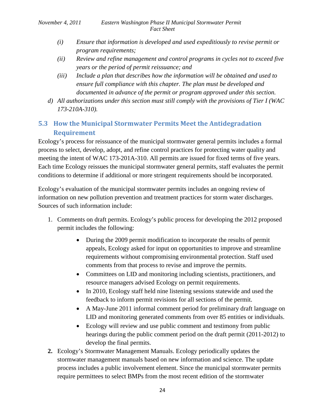- *(i) Ensure that information is developed and used expeditiously to revise permit or program requirements;*
- *(ii) Review and refine management and control programs in cycles not to exceed five years or the period of permit reissuance; and*
- *(iii) Include a plan that describes how the information will be obtained and used to ensure full compliance with this chapter. The plan must be developed and documented in advance of the permit or program approved under this section.*
- *d) All authorizations under this section must still comply with the provisions of Tier I (WAC 173-210A-310).*

# <span id="page-23-0"></span>**5.3 How the Municipal Stormwater Permits Meet the Antidegradation Requirement**

Ecology's process for reissuance of the municipal stormwater general permits includes a formal process to select, develop, adopt, and refine control practices for protecting water quality and meeting the intent of WAC 173-201A-310. All permits are issued for fixed terms of five years. Each time Ecology reissues the municipal stormwater general permits, staff evaluates the permit conditions to determine if additional or more stringent requirements should be incorporated.

Ecology's evaluation of the municipal stormwater permits includes an ongoing review of information on new pollution prevention and treatment practices for storm water discharges. Sources of such information include:

- 1. Comments on draft permits. Ecology's public process for developing the 2012 proposed permit includes the following:
	- During the 2009 permit modification to incorporate the results of permit appeals, Ecology asked for input on opportunities to improve and streamline requirements without compromising environmental protection. Staff used comments from that process to revise and improve the permits.
	- Committees on LID and monitoring including scientists, practitioners, and resource managers advised Ecology on permit requirements.
	- In 2010, Ecology staff held nine listening sessions statewide and used the feedback to inform permit revisions for all sections of the permit.
	- A May-June 2011 informal comment period for preliminary draft language on LID and monitoring generated comments from over 85 entities or individuals.
	- Ecology will review and use public comment and testimony from public hearings during the public comment period on the draft permit (2011-2012) to develop the final permits.
- **2.** Ecology's Stormwater Management Manuals. Ecology periodically updates the stormwater management manuals based on new information and science. The update process includes a public involvement element. Since the municipal stormwater permits require permittees to select BMPs from the most recent edition of the stormwater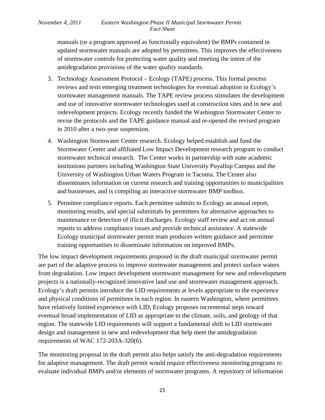manuals (or a program approved as functionally equivalent) the BMPs contained in updated stormwater manuals are adopted by permittees. This improves the effectiveness of stormwater controls for protecting water quality and meeting the intent of the antidegradation provisions of the water quality standards.

- 3. Technology Assessment Protocol Ecology (TAPE) process. This formal process reviews and tests emerging treatment technologies for eventual adoption in Ecology's stormwater management manuals. The TAPE review process stimulates the development and use of innovative stormwater technologies used at construction sites and in new and redevelopment projects. Ecology recently funded the Washington Stormwater Center to revise the protocols and the TAPE guidance manual and re-opened the revised program in 2010 after a two-year suspension.
- 4. Washington Stormwater Center research. Ecology helped establish and fund the Stormwater Center and affiliated Low Impact Development research program to conduct stormwater technical research. The Center works in partnership with state academic institutions partners including Washington State University Puyallup Campus and the University of Washington Urban Waters Program in Tacoma. The Center also disseminates information on current research and training opportunities to municipalities and businesses, and is compiling an interactive stormwater BMP toolbox.
- 5. Permittee compliance reports. Each permittee submits to Ecology an annual report, monitoring results, and special submittals by permittees for alternative approaches to maintenance or detection of illicit discharges. Ecology staff review and act on annual reports to address compliance issues and provide technical assistance. A statewide Ecology municipal stormwater permit team produces written guidance and permittee training opportunities to disseminate information on improved BMPs.

The low impact development requirements proposed in the draft municipal stormwater permit are part of the adaptive process to improve stormwater management and protect surface waters from degradation. Low impact development stormwater management for new and redevelopment projects is a nationally-recognized innovative land use and stormwater management approach. Ecology's draft permits introduce the LID requirements at levels appropriate to the experience and physical conditions of permittees in each region. In eastern Washington, where permittees have relatively limited experience with LID, Ecology proposes incremental steps toward eventual broad implementation of LID as appropriate to the climate, soils, and geology of that region. The statewide LID requirements will support a fundamental shift to LID stormwater design and management in new and redevelopment that help meet the antidegradation requirements of WAC 172-203A-320(6).

The monitoring proposal in the draft permit also helps satisfy the anti-degradation requirements for adaptive management. The draft permit would require effectiveness monitoring programs to evaluate individual BMPs and/or elements of stormwater programs. A repository of information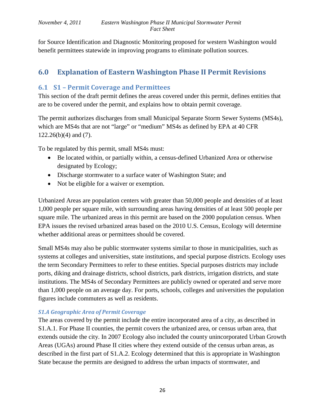for Source Identification and Diagnostic Monitoring proposed for western Washington would benefit permittees statewide in improving programs to eliminate pollution sources.

# <span id="page-25-0"></span>**6.0 Explanation of Eastern Washington Phase II Permit Revisions**

## <span id="page-25-1"></span>**6.1 S1 – Permit Coverage and Permittees**

This section of the draft permit defines the areas covered under this permit, defines entities that are to be covered under the permit, and explains how to obtain permit coverage.

The permit authorizes discharges from small Municipal Separate Storm Sewer Systems (MS4s), which are MS4s that are not "large" or "medium" MS4s as defined by EPA at 40 CFR 122.26(b)(4) and (7).

To be regulated by this permit, small MS4s must:

- Be located within, or partially within, a census-defined Urbanized Area or otherwise designated by Ecology;
- Discharge stormwater to a surface water of Washington State; and
- Not be eligible for a waiver or exemption.

Urbanized Areas are population centers with greater than 50,000 people and densities of at least 1,000 people per square mile, with surrounding areas having densities of at least 500 people per square mile. The urbanized areas in this permit are based on the 2000 population census. When EPA issues the revised urbanized areas based on the 2010 U.S. Census, Ecology will determine whether additional areas or permittees should be covered.

Small MS4s may also be public stormwater systems similar to those in municipalities, such as systems at colleges and universities, state institutions, and special purpose districts. Ecology uses the term Secondary Permittees to refer to these entities. Special purposes districts may include ports, diking and drainage districts, school districts, park districts, irrigation districts, and state institutions. The MS4s of Secondary Permittees are publicly owned or operated and serve more than 1,000 people on an average day. For ports, schools, colleges and universities the population figures include commuters as well as residents.

## *S1.A Geographic Area of Permit Coverage*

The areas covered by the permit include the entire incorporated area of a city, as described in S1.A.1. For Phase II counties, the permit covers the urbanized area, or census urban area, that extends outside the city. In 2007 Ecology also included the county unincorporated Urban Growth Areas (UGAs) around Phase II cities where they extend outside of the census urban areas, as described in the first part of S1.A.2. Ecology determined that this is appropriate in Washington State because the permits are designed to address the urban impacts of stormwater, and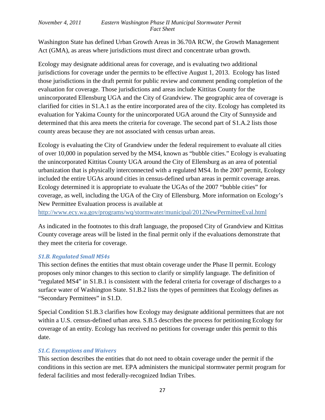Washington State has defined Urban Growth Areas in 36.70A RCW, the Growth Management Act (GMA), as areas where jurisdictions must direct and concentrate urban growth.

Ecology may designate additional areas for coverage, and is evaluating two additional jurisdictions for coverage under the permits to be effective August 1, 2013. Ecology has listed those jurisdictions in the draft permit for public review and comment pending completion of the evaluation for coverage. Those jurisdictions and areas include Kittitas County for the unincorporated Ellensburg UGA and the City of Grandview. The geographic area of coverage is clarified for cities in S1.A.1 as the entire incorporated area of the city. Ecology has completed its evaluation for Yakima County for the unincorporated UGA around the City of Sunnyside and determined that this area meets the criteria for coverage. The second part of S1.A.2 lists those county areas because they are not associated with census urban areas.

Ecology is evaluating the City of Grandview under the federal requirement to evaluate all cities of over 10,000 in population served by the MS4, known as "bubble cities." Ecology is evaluating the unincorporated Kittitas County UGA around the City of Ellensburg as an area of potential urbanization that is physically interconnected with a regulated MS4. In the 2007 permit, Ecology included the entire UGAs around cities in census-defined urban areas in permit coverage areas. Ecology determined it is appropriate to evaluate the UGAs of the 2007 "bubble cities" for coverage, as well, including the UGA of the City of Ellensburg. More information on Ecology's New Permittee Evaluation process is available at

<http://www.ecy.wa.gov/programs/wq/stormwater/municipal/2012NewPermitteeEval.html>

As indicated in the footnotes to this draft language, the proposed City of Grandview and Kittitas County coverage areas will be listed in the final permit only if the evaluations demonstrate that they meet the criteria for coverage.

## *S1.B. Regulated Small MS4s*

This section defines the entities that must obtain coverage under the Phase II permit. Ecology proposes only minor changes to this section to clarify or simplify language. The definition of "regulated MS4" in S1.B.1 is consistent with the federal criteria for coverage of discharges to a surface water of Washington State. S1.B.2 lists the types of permittees that Ecology defines as "Secondary Permittees" in S1.D.

Special Condition S1.B.3 clarifies how Ecology may designate additional permittees that are not within a U.S. census-defined urban area. S.B.5 describes the process for petitioning Ecology for coverage of an entity. Ecology has received no petitions for coverage under this permit to this date.

## *S1.C. Exemptions and Waivers*

This section describes the entities that do not need to obtain coverage under the permit if the conditions in this section are met. EPA administers the municipal stormwater permit program for federal facilities and most federally-recognized Indian Tribes.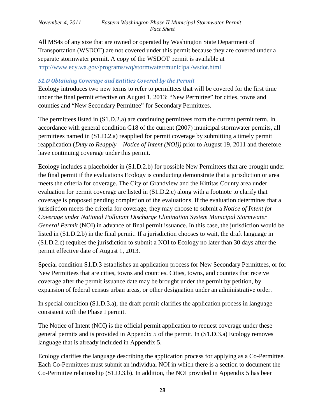All MS4s of any size that are owned or operated by Washington State Department of Transportation (WSDOT) are not covered under this permit because they are covered under a separate stormwater permit. A copy of the WSDOT permit is available at <http://www.ecy.wa.gov/programs/wq/stormwater/municipal/wsdot.html>

#### *S1.D Obtaining Coverage and Entities Covered by the Permit*

Ecology introduces two new terms to refer to permittees that will be covered for the first time under the final permit effective on August 1, 2013: "New Permittee" for cities, towns and counties and "New Secondary Permittee" for Secondary Permittees.

The permittees listed in (S1.D.2.a) are continuing permittees from the current permit term. In accordance with general condition G18 of the current (2007) municipal stormwater permits, all permittees named in (S1.D.2.a) reapplied for permit coverage by submitting a timely permit reapplication (*Duty to Reapply – Notice of Intent (NOI))* prior to August 19, 2011 and therefore have continuing coverage under this permit.

Ecology includes a placeholder in (S1.D.2.b) for possible New Permittees that are brought under the final permit if the evaluations Ecology is conducting demonstrate that a jurisdiction or area meets the criteria for coverage. The City of Grandview and the Kittitas County area under evaluation for permit coverage are listed in (S1.D.2.c) along with a footnote to clarify that coverage is proposed pending completion of the evaluations. If the evaluation determines that a jurisdiction meets the criteria for coverage, they may choose to submit a *Notice of Intent for Coverage under National Pollutant Discharge Elimination System Municipal Stormwater General Permit* (NOI) in advance of final permit issuance. In this case, the jurisdiction would be listed in (S1.D.2.b) in the final permit. If a jurisdiction chooses to wait, the draft language in (S1.D.2.c) requires the jurisdiction to submit a NOI to Ecology no later than 30 days after the permit effective date of August 1, 2013.

Special condition S1.D.3 establishes an application process for New Secondary Permittees, or for New Permittees that are cities, towns and counties. Cities, towns, and counties that receive coverage after the permit issuance date may be brought under the permit by petition, by expansion of federal census urban areas, or other designation under an administrative order.

In special condition (S1.D.3.a), the draft permit clarifies the application process in language consistent with the Phase I permit.

The Notice of Intent (NOI) is the official permit application to request coverage under these general permits and is provided in Appendix 5 of the permit. In (S1.D.3.a) Ecology removes language that is already included in Appendix 5.

Ecology clarifies the language describing the application process for applying as a Co-Permittee. Each Co-Permittees must submit an individual NOI in which there is a section to document the Co-Permittee relationship (S1.D.3.b). In addition, the NOI provided in Appendix 5 has been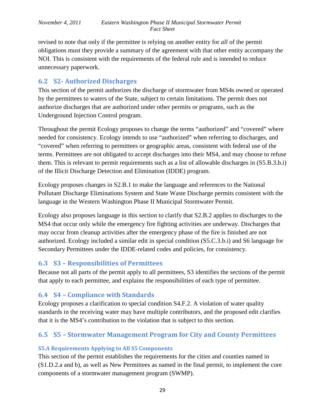revised to note that only if the permittee is relying on another entity for *all* of the permit obligations must they provide a summary of the agreement with that other entity accompany the NOI. This is consistent with the requirements of the federal rule and is intended to reduce unnecessary paperwork.

## <span id="page-28-0"></span>**6.2 S2- Authorized Discharges**

This section of the permit authorizes the discharge of stormwater from MS4s owned or operated by the permittees to waters of the State, subject to certain limitations. The permit does not authorize discharges that are authorized under other permits or programs, such as the Underground Injection Control program.

Throughout the permit Ecology proposes to change the terms "authorized" and "covered" where needed for consistency. Ecology intends to use "authorized" when referring to discharges, and "covered" when referring to permittees or geographic areas, consistent with federal use of the terms. Permittees are not obligated to accept discharges into their MS4, and may choose to refuse them. This is relevant to permit requirements such as a list of allowable discharges in (S5.B.3.b.i) of the Illicit Discharge Detection and Elimination (IDDE) program.

Ecology proposes changes in S2.B.1 to make the language and references to the National Pollutant Discharge Eliminations System and State Waste Discharge permits consistent with the language in the Western Washington Phase II Municipal Stormwater Permit.

Ecology also proposes language in this section to clarify that S2.B.2 applies to discharges to the MS4 that occur only while the emergency fire fighting activities are underway. Discharges that may occur from cleanup activities after the emergency phase of the fire is finished are not authorized. Ecology included a similar edit in special condition (S5.C.3.b.i) and S6 language for Secondary Permittees under the IDDE-related codes and policies, for consistency.

# <span id="page-28-1"></span>**6.3 S3 – Responsibilities of Permittees**

Because not all parts of the permit apply to all permittees, S3 identifies the sections of the permit that apply to each permittee, and explains the responsibilities of each type of permittee.

# <span id="page-28-2"></span>**6.4 S4 – Compliance with Standards**

Ecology proposes a clarification to special condition S4.F.2. A violation of water quality standards in the receiving water may have multiple contributors, and the proposed edit clarifies that it is the MS4's contribution to the violation that is subject to this section.

# <span id="page-28-3"></span>**6.5 S5 – Stormwater Management Program for City and County Permittees**

## <span id="page-28-4"></span>**S5.A Requirements Applying to All S5 Components**

This section of the permit establishes the requirements for the cities and counties named in (S1.D.2.a and b), as well as New Permittees as named in the final permit, to implement the core components of a stormwater management program (SWMP).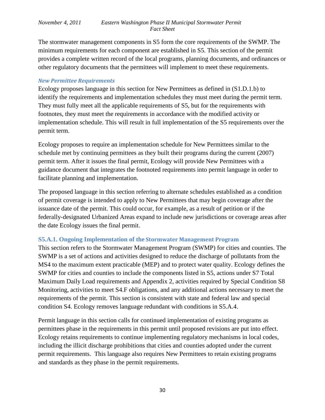The stormwater management components in S5 form the core requirements of the SWMP. The minimum requirements for each component are established in S5. This section of the permit provides a complete written record of the local programs, planning documents, and ordinances or other regulatory documents that the permittees will implement to meet these requirements.

#### <span id="page-29-0"></span>*New Permittee Requirements*

Ecology proposes language in this section for New Permittees as defined in (S1.D.1.b) to identify the requirements and implementation schedules they must meet during the permit term. They must fully meet all the applicable requirements of S5, but for the requirements with footnotes, they must meet the requirements in accordance with the modified activity or implementation schedule. This will result in full implementation of the S5 requirements over the permit term.

Ecology proposes to require an implementation schedule for New Permittees similar to the schedule met by continuing permittees as they built their programs during the current (2007) permit term. After it issues the final permit, Ecology will provide New Permittees with a guidance document that integrates the footnoted requirements into permit language in order to facilitate planning and implementation.

The proposed language in this section referring to alternate schedules established as a condition of permit coverage is intended to apply to New Permittees that may begin coverage after the issuance date of the permit. This could occur, for example, as a result of petition or if the federally-designated Urbanized Areas expand to include new jurisdictions or coverage areas after the date Ecology issues the final permit.

#### <span id="page-29-1"></span>**S5.A.1. Ongoing Implementation of the Stormwater Management Program**

This section refers to the Stormwater Management Program (SWMP) for cities and counties. The SWMP is a set of actions and activities designed to reduce the discharge of pollutants from the MS4 to the maximum extent practicable (MEP) and to protect water quality. Ecology defines the SWMP for cities and counties to include the components listed in S5, actions under S7 Total Maximum Daily Load requirements and Appendix 2, activities required by Special Condition S8 Monitoring, activities to meet S4.F obligations, and any additional actions necessary to meet the requirements of the permit. This section is consistent with state and federal law and special condition S4. Ecology removes language redundant with conditions in S5.A.4.

Permit language in this section calls for continued implementation of existing programs as permittees phase in the requirements in this permit until proposed revisions are put into effect. Ecology retains requirements to continue implementing regulatory mechanisms in local codes, including the illicit discharge prohibitions that cities and counties adopted under the current permit requirements. This language also requires New Permittees to retain existing programs and standards as they phase in the permit requirements.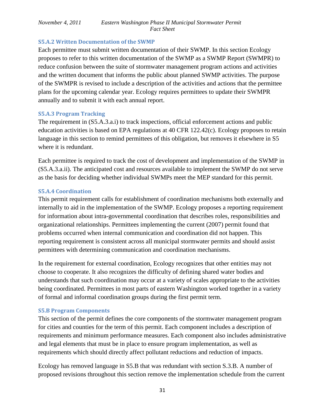#### **S5.A.2 Written Documentation of the SWMP**

Each permittee must submit written documentation of their SWMP. In this section Ecology proposes to refer to this written documentation of the SWMP as a SWMP Report (SWMPR) to reduce confusion between the suite of stormwater management program actions and activities and the written document that informs the public about planned SWMP activities. The purpose of the SWMPR is revised to include a description of the activities and actions that the permittee plans for the upcoming calendar year. Ecology requires permittees to update their SWMPR annually and to submit it with each annual report.

#### **S5.A.3 Program Tracking**

The requirement in (S5.A.3.a.i) to track inspections, official enforcement actions and public education activities is based on EPA regulations at 40 CFR 122.42(c). Ecology proposes to retain language in this section to remind permittees of this obligation, but removes it elsewhere in S5 where it is redundant.

Each permittee is required to track the cost of development and implementation of the SWMP in (S5.A.3.a.ii). The anticipated cost and resources available to implement the SWMP do not serve as the basis for deciding whether individual SWMPs meet the MEP standard for this permit.

### <span id="page-30-0"></span>**S5.A.4 Coordination**

This permit requirement calls for establishment of coordination mechanisms both externally and internally to aid in the implementation of the SWMP. Ecology proposes a reporting requirement for information about intra-governmental coordination that describes roles, responsibilities and organizational relationships. Permittees implementing the current (2007) permit found that problems occurred when internal communication and coordination did not happen. This reporting requirement is consistent across all municipal stormwater permits and should assist permittees with determining communication and coordination mechanisms.

In the requirement for external coordination, Ecology recognizes that other entities may not choose to cooperate. It also recognizes the difficulty of defining shared water bodies and understands that such coordination may occur at a variety of scales appropriate to the activities being coordinated. Permittees in most parts of eastern Washington worked together in a variety of formal and informal coordination groups during the first permit term.

#### <span id="page-30-1"></span>**S5.B Program Components**

This section of the permit defines the core components of the stormwater management program for cities and counties for the term of this permit. Each component includes a description of requirements and minimum performance measures. Each component also includes administrative and legal elements that must be in place to ensure program implementation, as well as requirements which should directly affect pollutant reductions and reduction of impacts.

Ecology has removed language in S5.B that was redundant with section S.3.B. A number of proposed revisions throughout this section remove the implementation schedule from the current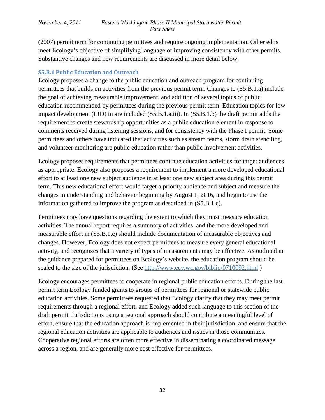(2007) permit term for continuing permittees and require ongoing implementation. Other edits meet Ecology's objective of simplifying language or improving consistency with other permits. Substantive changes and new requirements are discussed in more detail below.

## <span id="page-31-0"></span>**S5.B.1 Public Education and Outreach**

Ecology proposes a change to the public education and outreach program for continuing permittees that builds on activities from the previous permit term. Changes to (S5.B.1.a) include the goal of achieving measurable improvement, and addition of several topics of public education recommended by permittees during the previous permit term. Education topics for low impact development (LID) in are included (S5.B.1.a.iii). In (S5.B.1.b) the draft permit adds the requirement to create stewardship opportunities as a public education element in response to comments received during listening sessions, and for consistency with the Phase I permit. Some permittees and others have indicated that activities such as stream teams, storm drain stenciling, and volunteer monitoring are public education rather than public involvement activities.

Ecology proposes requirements that permittees continue education activities for target audiences as appropriate. Ecology also proposes a requirement to implement a more developed educational effort to at least one new subject audience in at least one new subject area during this permit term. This new educational effort would target a priority audience and subject and measure the changes in understanding and behavior beginning by August 1, 2016, and begin to use the information gathered to improve the program as described in (S5.B.1.c).

Permittees may have questions regarding the extent to which they must measure education activities. The annual report requires a summary of activities, and the more developed and measurable effort in (S5.B.1.c) should include documentation of measurable objectives and changes. However, Ecology does not expect permittees to measure every general educational activity, and recognizes that a variety of types of measurements may be effective. As outlined in the guidance prepared for permittees on Ecology's website, the education program should be scaled to the size of the jurisdiction. (See<http://www.ecy.wa.gov/biblio/0710092.html> )

Ecology encourages permittees to cooperate in regional public education efforts. During the last permit term Ecology funded grants to groups of permittees for regional or statewide public education activities. Some permittees requested that Ecology clarify that they may meet permit requirements through a regional effort, and Ecology added such language to this section of the draft permit. Jurisdictions using a regional approach should contribute a meaningful level of effort, ensure that the education approach is implemented in their jurisdiction, and ensure that the regional education activities are applicable to audiences and issues in those communities. Cooperative regional efforts are often more effective in disseminating a coordinated message across a region, and are generally more cost effective for permittees.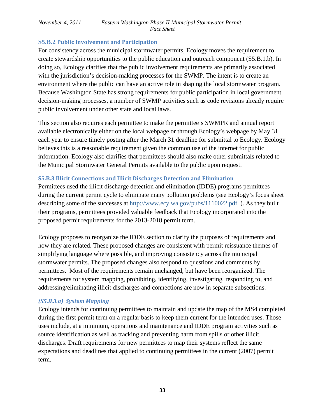## <span id="page-32-0"></span>**S5.B.2 Public Involvement and Participation**

For consistency across the municipal stormwater permits, Ecology moves the requirement to create stewardship opportunities to the public education and outreach component (S5.B.1.b). In doing so, Ecology clarifies that the public involvement requirements are primarily associated with the jurisdiction's decision-making processes for the SWMP. The intent is to create an environment where the public can have an active role in shaping the local stormwater program. Because Washington State has strong requirements for public participation in local government decision-making processes, a number of SWMP activities such as code revisions already require public involvement under other state and local laws.

This section also requires each permittee to make the permittee's SWMPR and annual report available electronically either on the local webpage or through Ecology's webpage by May 31 each year to ensure timely posting after the March 31 deadline for submittal to Ecology. Ecology believes this is a reasonable requirement given the common use of the internet for public information. Ecology also clarifies that permittees should also make other submittals related to the Municipal Stormwater General Permits available to the public upon request.

## <span id="page-32-1"></span>**S5.B.3 Illicit Connections and Illicit Discharges Detection and Elimination**

Permittees used the illicit discharge detection and elimination (IDDE) programs permittees during the current permit cycle to eliminate many pollution problems (see Ecology's focus sheet describing some of the successes at http://www.ecy.wa.gov/pubs/1110022.pdf). As they built their programs, permittees provided valuable feedback that Ecology incorporated into the proposed permit requirements for the 2013-2018 permit term.

Ecology proposes to reorganize the IDDE section to clarify the purposes of requirements and how they are related. These proposed changes are consistent with permit reissuance themes of simplifying language where possible, and improving consistency across the municipal stormwater permits. The proposed changes also respond to questions and comments by permittees. Most of the requirements remain unchanged, but have been reorganized. The requirements for system mapping, prohibiting, identifying, investigating, responding to, and addressing/eliminating illicit discharges and connections are now in separate subsections.

## *(S5.B.3.a) System Mapping*

Ecology intends for continuing permittees to maintain and update the map of the MS4 completed during the first permit term on a regular basis to keep them current for the intended uses. Those uses include, at a minimum, operations and maintenance and IDDE program activities such as source identification as well as tracking and preventing harm from spills or other illicit discharges. Draft requirements for new permittees to map their systems reflect the same expectations and deadlines that applied to continuing permittees in the current (2007) permit term.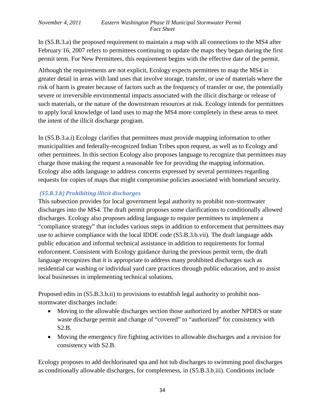In (S5.B.3.a) the proposed requirement to maintain a map with all connections to the MS4 after February 16, 2007 refers to permittees continuing to update the maps they began during the first permit term. For New Permittees, this requirement begins with the effective date of the permit.

Although the requirements are not explicit, Ecology expects permittees to map the MS4 in greater detail in areas with land uses that involve storage, transfer, or use of materials where the risk of harm is greater because of factors such as the frequency of transfer or use, the potentially severe or irreversible environmental impacts associated with the illicit discharge or release of such materials, or the nature of the downstream resources at risk. Ecology intends for permittees to apply local knowledge of land uses to map the MS4 more completely in these areas to meet the intent of the illicit discharge program.

In (S5.B.3.a.i) Ecology clarifies that permittees must provide mapping information to other municipalities and federally-recognized Indian Tribes upon request, as well as to Ecology and other permittees. In this section Ecology also proposes language to recognize that permittees may charge those making the request a reasonable fee for providing the mapping information. Ecology also adds language to address concerns expressed by several permittees regarding requests for copies of maps that might compromise policies associated with homeland security.

## *(S5.B.3.b) Prohibiting illicit discharges*

This subsection provides for local government legal authority to prohibit non-stormwater discharges into the MS4. The draft permit proposes some clarifications to conditionally allowed discharges. Ecology also proposes adding language to require permittees to implement a "compliance strategy" that includes various steps in addition to enforcement that permittees may use to achieve compliance with the local IDDE code (S5.B.3.b.vii). The draft language adds public education and informal technical assistance in addition to requirements for formal enforcement. Consistent with Ecology guidance during the previous permit term, the draft language recognizes that it is appropriate to address many prohibited discharges such as residential car washing or individual yard care practices through public education, and to assist local businesses in implementing technical solutions.

Proposed edits in (S5.B.3.b.ii) to provisions to establish legal authority to prohibit nonstormwater discharges include:

- Moving to the allowable discharges section those authorized by another NPDES or state waste discharge permit and change of "covered" to "authorized" for consistency with S2.B.
- Moving the emergency fire fighting activities to allowable discharges and a revision for consistency with S2.B.

Ecology proposes to add dechlorinated spa and hot tub discharges to swimming pool discharges as conditionally allowable discharges, for completeness, in (S5.B.3.b.iii). Conditions include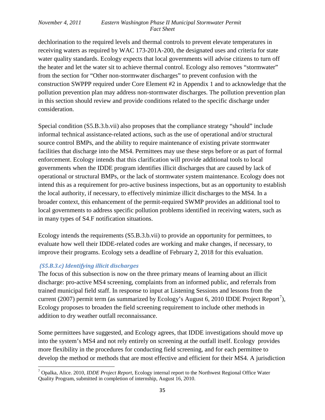dechlorination to the required levels and thermal controls to prevent elevate temperatures in receiving waters as required by WAC 173-201A-200, the designated uses and criteria for state water quality standards. Ecology expects that local governments will advise citizens to turn off the heater and let the water sit to achieve thermal control. Ecology also removes "stormwater" from the section for "Other non-stormwater discharges" to prevent confusion with the construction SWPPP required under Core Element #2 in Appendix 1 and to acknowledge that the pollution prevention plan may address non-stormwater discharges. The pollution prevention plan in this section should review and provide conditions related to the specific discharge under consideration.

Special condition (S5.B.3.b.vii) also proposes that the compliance strategy "should" include informal technical assistance-related actions, such as the use of operational and/or structural source control BMPs, and the ability to require maintenance of existing private stormwater facilities that discharge into the MS4. Permittees may use these steps before or as part of formal enforcement. Ecology intends that this clarification will provide additional tools to local governments when the IDDE program identifies illicit discharges that are caused by lack of operational or structural BMPs, or the lack of stormwater system maintenance. Ecology does not intend this as a requirement for pro-active business inspections, but as an opportunity to establish the local authority, if necessary, to effectively minimize illicit discharges to the MS4. In a broader context, this enhancement of the permit-required SWMP provides an additional tool to local governments to address specific pollution problems identified in receiving waters, such as in many types of S4.F notification situations.

Ecology intends the requirements (S5.B.3.b.vii) to provide an opportunity for permittees, to evaluate how well their IDDE-related codes are working and make changes, if necessary, to improve their programs. Ecology sets a deadline of February 2, 2018 for this evaluation.

## *(S5.B.3.c) Identifying illicit discharges*

ı

The focus of this subsection is now on the three primary means of learning about an illicit discharge: pro-active MS4 screening, complaints from an informed public, and referrals from trained municipal field staff. In response to input at Listening Sessions and lessons from the current (200[7](#page-34-0)) permit term (as summarized by Ecology's August 6, 2010 IDDE Project Report<sup>7</sup>), Ecology proposes to broaden the field screening requirement to include other methods in addition to dry weather outfall reconnaissance.

Some permittees have suggested, and Ecology agrees, that IDDE investigations should move up into the system's MS4 and not rely entirely on screening at the outfall itself. Ecology provides more flexibility in the procedures for conducting field screening, and for each permittee to develop the method or methods that are most effective and efficient for their MS4. A jurisdiction

<span id="page-34-0"></span><sup>7</sup> Opalka, Alice. 2010, *IDDE Project Report,* Ecology internal report to the Northwest Regional Office Water Quality Program, submitted in completion of internship, August 16, 2010.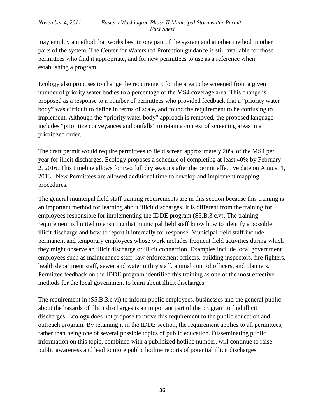may employ a method that works best in one part of the system and another method in other parts of the system. The Center for Watershed Protection guidance is still available for those permittees who find it appropriate, and for new permittees to use as a reference when establishing a program.

Ecology also proposes to change the requirement for the area to be screened from a given number of priority water bodies to a percentage of the MS4 coverage area. This change is proposed as a response to a number of permittees who provided feedback that a "priority water body" was difficult to define in terms of scale, and found the requirement to be confusing to implement. Although the "priority water body" approach is removed, the proposed language includes "prioritize conveyances and outfalls" to retain a context of screening areas in a prioritized order.

The draft permit would require permittees to field screen approximately 20% of the MS4 per year for illicit discharges. Ecology proposes a schedule of completing at least 40% by February 2, 2016. This timeline allows for two full dry seasons after the permit effective date on August 1, 2013. New Permittees are allowed additional time to develop and implement mapping procedures.

The general municipal field staff training requirements are in this section because this training is an important method for learning about illicit discharges. It is different from the training for employees responsible for implementing the IDDE program (S5.B.3.c.v). The training requirement is limited to ensuring that municipal field staff know how to identify a possible illicit discharge and how to report it internally for response. Municipal field staff include permanent and temporary employees whose work includes frequent field activities during which they might observe an illicit discharge or illicit connection. Examples include local government employees such as maintenance staff, law enforcement officers, building inspectors, fire fighters, health department staff, sewer and water utility staff, animal control officers, and planners. Permittee feedback on the IDDE program identified this training as one of the most effective methods for the local government to learn about illicit discharges.

The requirement in (S5.B.3.c.vi) to inform public employees, businesses and the general public about the hazards of illicit discharges is an important part of the program to find illicit discharges. Ecology does not propose to move this requirement to the public education and outreach program. By retaining it in the IDDE section, the requirement applies to all permittees, rather than being one of several possible topics of public education. Disseminating public information on this topic, combined with a publicized hotline number, will continue to raise public awareness and lead to more public hotline reports of potential illicit discharges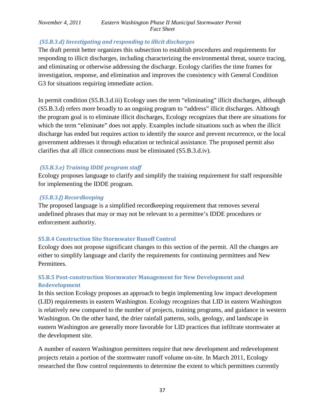### *(S5.B.3.d) Investigating and responding to illicit discharges*

The draft permit better organizes this subsection to establish procedures and requirements for responding to illicit discharges, including characterizing the environmental threat, source tracing, and eliminating or otherwise addressing the discharge. Ecology clarifies the time frames for investigation, response, and elimination and improves the consistency with General Condition G3 for situations requiring immediate action.

In permit condition (S5.B.3.d.iii) Ecology uses the term "eliminating" illicit discharges, although (S5.B.3.d) refers more broadly to an ongoing program to "address" illicit discharges. Although the program goal is to eliminate illicit discharges, Ecology recognizes that there are situations for which the term "eliminate" does not apply. Examples include situations such as when the illicit discharge has ended but requires action to identify the source and prevent recurrence, or the local government addresses it through education or technical assistance. The proposed permit also clarifies that all illicit connections must be eliminated (S5.B.3.d.iv).

### *(S5.B.3.e) Training IDDE program staff*

Ecology proposes language to clarify and simplify the training requirement for staff responsible for implementing the IDDE program.

#### *(S5.B.3.f) Recordkeeping*

The proposed language is a simplified recordkeeping requirement that removes several undefined phrases that may or may not be relevant to a permittee's IDDE procedures or enforcement authority.

## <span id="page-36-0"></span>**S5.B.4 Construction Site Stormwater Runoff Control**

Ecology does not propose significant changes to this section of the permit. All the changes are either to simplify language and clarify the requirements for continuing permittees and New Permittees.

## <span id="page-36-1"></span>**S5.B.5 Post-construction Stormwater Management for New Development and Redevelopment**

In this section Ecology proposes an approach to begin implementing low impact development (LID) requirements in eastern Washington. Ecology recognizes that LID in eastern Washington is relatively new compared to the number of projects, training programs, and guidance in western Washington. On the other hand, the drier rainfall patterns, soils, geology, and landscape in eastern Washington are generally more favorable for LID practices that infiltrate stormwater at the development site.

A number of eastern Washington permittees require that new development and redevelopment projects retain a portion of the stormwater runoff volume on-site. In March 2011, Ecology researched the flow control requirements to determine the extent to which permittees currently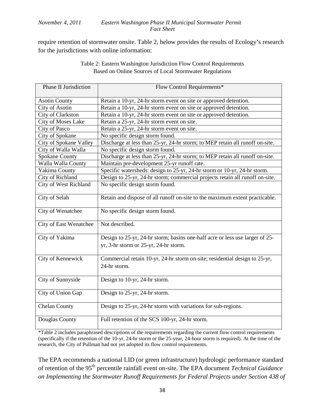require retention of stormwater onsite. Table 2, below provides the results of Ecology's research for the jurisdictions with online information:

| Table 2: Eastern Washington Jurisdiction Flow Control Requirements |  |
|--------------------------------------------------------------------|--|
| Based on Online Sources of Local Stormwater Regulations            |  |

| Phase II Jurisdiction  | Flow Control Requirements*                                                                                            |
|------------------------|-----------------------------------------------------------------------------------------------------------------------|
| <b>Asotin County</b>   | Retain a 10-yr, 24-hr storm event on site or approved detention.                                                      |
| City of Asotin         | Retain a 10-yr, 24-hr storm event on site or approved detention.                                                      |
| City of Clarkston      | Retain a 10-yr, 24-hr storm event on site or approved detention.                                                      |
| City of Moses Lake     | Retain a 25-yr, 24-hr storm event on site.                                                                            |
| City of Pasco          | Retain a 25-yr, 24-hr storm event on site.                                                                            |
| City of Spokane        | No specific design storm found.                                                                                       |
| City of Spokane Valley | Discharge at less than 25-yr, 24-hr storm; to MEP retain all runoff on-site.                                          |
| City of Walla Walla    | No specific design storm found.                                                                                       |
| Spokane County         | Discharge at less than 25-yr, 24-hr storm; to MEP retain all runoff on-site.                                          |
| Walla Walla County     | Maintain pre-development 25-yr runoff rate.                                                                           |
| Yakima County          | Specific watersheds: design to 25-yr, 24-hr storm or 10-yr, 24-hr storm.                                              |
| City of Richland       | Design to 25-yr, 24-hr storm; commercial projects retain all runoff on-site.                                          |
| City of West Richland  | No specific design storm found.                                                                                       |
| City of Selah          | Retain and dispose of all runoff on-site to the maximum extent practicable.                                           |
| City of Wenatchee      | No specific design storm found.                                                                                       |
| City of East Wenatchee | Not described.                                                                                                        |
| City of Yakima         | Design to 25-yr, 24-hr storm; basins one-half acre or less use larger of 25-<br>yr, 3-hr storm or 25-yr, 24-hr storm. |
| City of Kennewick      | Commercial retain 10-yr, 24-hr storm on-site; residential design to 25-yr,<br>24-hr storm.                            |
| City of Sunnyside      | Design to 10-yr, 24-hr storm.                                                                                         |
| City of Union Gap      | Design to 25-yr, 24-hr storm.                                                                                         |
| <b>Chelan County</b>   | Design to 25-yr, 24-hr storm with variations for sub-regions.                                                         |
| Douglas County         | Full retention of the SCS 100-yr, 24-hr storm.                                                                        |

\*Table 2 includes paraphrased descriptions of the requirements regarding the current flow control requirements (specifically if the retention of the 10-yr, 24-hr storm or the 25-year, 24-hour storm is required). At the time of the research, the City of Pullman had not yet adopted its flow control requirements.

The EPA recommends a national LID (or green infrastructure) hydrologic performance standard of retention of the 95th percentile rainfall event on-site. The EPA document *Technical Guidance on Implementing the Stormwater Runoff Requirements for Federal Projects under Section 438 of*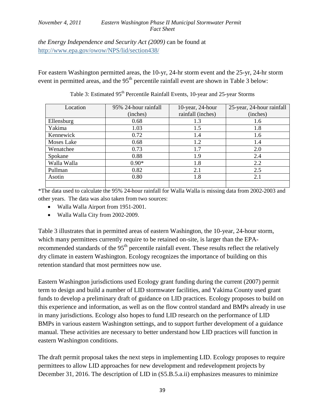*the Energy Independence and Security Act (2009)* can be found at <http://www.epa.gov/owow/NPS/lid/section438/>

For eastern Washington permitted areas, the 10-yr, 24-hr storm event and the 25-yr, 24-hr storm event in permitted areas, and the  $95<sup>th</sup>$  percentile rainfall event are shown in Table 3 below:

| Location    | 95% 24-hour rainfall | 10-year, 24-hour  | 25-year, 24-hour rainfall |  |  |
|-------------|----------------------|-------------------|---------------------------|--|--|
|             | (inches)             | rainfall (inches) | (inches)                  |  |  |
| Ellensburg  | 0.68                 | 1.3               | 1.6                       |  |  |
| Yakima      | 1.03                 | 1.5               | 1.8                       |  |  |
| Kennewick   | 0.72                 | 1.4               | 1.6                       |  |  |
| Moses Lake  | 0.68                 | 1.2               | 1.4                       |  |  |
| Wenatchee   | 0.73                 | 1.7               | 2.0                       |  |  |
| Spokane     | 0.88                 | 1.9               | 2.4                       |  |  |
| Walla Walla | $0.90*$              | 1.8               | 2.2                       |  |  |
| Pullman     | 0.82                 | 2.1               | 2.5                       |  |  |
| Asotin      | 0.80                 | 1.8               | 2.1                       |  |  |
|             |                      |                   |                           |  |  |

Table 3: Estimated 95<sup>th</sup> Percentile Rainfall Events, 10-year and 25-year Storms

\*The data used to calculate the 95% 24-hour rainfall for Walla Walla is missing data from 2002-2003 and other years. The data was also taken from two sources:

- Walla Walla Airport from 1951-2001.
- Walla Walla City from 2002-2009.

Table 3 illustrates that in permitted areas of eastern Washington, the 10-year, 24-hour storm, which many permittees currently require to be retained on-site, is larger than the EPArecommended standards of the 95<sup>th</sup> percentile rainfall event. These results reflect the relatively dry climate in eastern Washington. Ecology recognizes the importance of building on this retention standard that most permittees now use.

Eastern Washington jurisdictions used Ecology grant funding during the current (2007) permit term to design and build a number of LID stormwater facilities, and Yakima County used grant funds to develop a preliminary draft of guidance on LID practices. Ecology proposes to build on this experience and information, as well as on the flow control standard and BMPs already in use in many jurisdictions. Ecology also hopes to fund LID research on the performance of LID BMPs in various eastern Washington settings, and to support further development of a guidance manual. These activities are necessary to better understand how LID practices will function in eastern Washington conditions.

The draft permit proposal takes the next steps in implementing LID. Ecology proposes to require permittees to allow LID approaches for new development and redevelopment projects by December 31, 2016. The description of LID in (S5.B.5.a.ii) emphasizes measures to minimize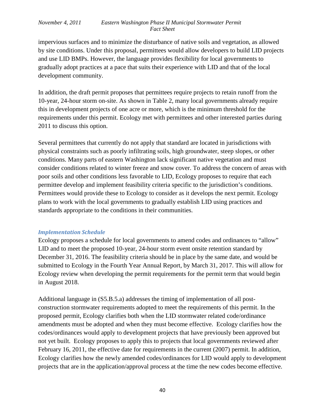impervious surfaces and to minimize the disturbance of native soils and vegetation, as allowed by site conditions. Under this proposal, permittees would allow developers to build LID projects and use LID BMPs. However, the language provides flexibility for local governments to gradually adopt practices at a pace that suits their experience with LID and that of the local development community.

In addition, the draft permit proposes that permittees require projects to retain runoff from the 10-year, 24-hour storm on-site. As shown in Table 2, many local governments already require this in development projects of one acre or more, which is the minimum threshold for the requirements under this permit. Ecology met with permittees and other interested parties during 2011 to discuss this option.

Several permittees that currently do not apply that standard are located in jurisdictions with physical constraints such as poorly infiltrating soils, high groundwater, steep slopes, or other conditions. Many parts of eastern Washington lack significant native vegetation and must consider conditions related to winter freeze and snow cover. To address the concern of areas with poor soils and other conditions less favorable to LID, Ecology proposes to require that each permittee develop and implement feasibility criteria specific to the jurisdiction's conditions. Permittees would provide these to Ecology to consider as it develops the next permit. Ecology plans to work with the local governments to gradually establish LID using practices and standards appropriate to the conditions in their communities.

#### *Implementation Schedule*

Ecology proposes a schedule for local governments to amend codes and ordinances to "allow" LID and to meet the proposed 10-year, 24-hour storm event onsite retention standard by December 31, 2016. The feasibility criteria should be in place by the same date, and would be submitted to Ecology in the Fourth Year Annual Report, by March 31, 2017. This will allow for Ecology review when developing the permit requirements for the permit term that would begin in August 2018.

Additional language in (S5.B.5.a) addresses the timing of implementation of all postconstruction stormwater requirements adopted to meet the requirements of this permit. In the proposed permit, Ecology clarifies both when the LID stormwater related code/ordinance amendments must be adopted and when they must become effective. Ecology clarifies how the codes/ordinances would apply to development projects that have previously been approved but not yet built. Ecology proposes to apply this to projects that local governments reviewed after February 16, 2011, the effective date for requirements in the current (2007) permit. In addition, Ecology clarifies how the newly amended codes/ordinances for LID would apply to development projects that are in the application/approval process at the time the new codes become effective.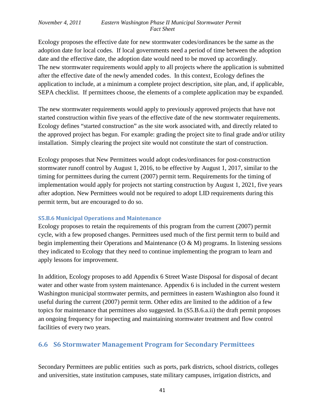Ecology proposes the effective date for new stormwater codes/ordinances be the same as the adoption date for local codes. If local governments need a period of time between the adoption date and the effective date, the adoption date would need to be moved up accordingly. The new stormwater requirements would apply to all projects where the application is submitted after the effective date of the newly amended codes. In this context, Ecology defines the application to include, at a minimum a complete project description, site plan, and, if applicable, SEPA checklist. If permittees choose, the elements of a complete application may be expanded.

The new stormwater requirements would apply to previously approved projects that have not started construction within five years of the effective date of the new stormwater requirements. Ecology defines "started construction" as the site work associated with, and directly related to the approved project has begun. For example: grading the project site to final grade and/or utility installation. Simply clearing the project site would not constitute the start of construction.

Ecology proposes that New Permittees would adopt codes/ordinances for post-construction stormwater runoff control by August 1, 2016, to be effective by August 1, 2017, similar to the timing for permittees during the current (2007) permit term. Requirements for the timing of implementation would apply for projects not starting construction by August 1, 2021, five years after adoption. New Permittees would not be required to adopt LID requirements during this permit term, but are encouraged to do so.

#### <span id="page-40-0"></span>**S5.B.6 Municipal Operations and Maintenance**

Ecology proposes to retain the requirements of this program from the current (2007) permit cycle, with a few proposed changes. Permittees used much of the first permit term to build and begin implementing their Operations and Maintenance (O & M) programs. In listening sessions they indicated to Ecology that they need to continue implementing the program to learn and apply lessons for improvement.

In addition, Ecology proposes to add Appendix 6 Street Waste Disposal for disposal of decant water and other waste from system maintenance. Appendix 6 is included in the current western Washington municipal stormwater permits, and permittees in eastern Washington also found it useful during the current (2007) permit term. Other edits are limited to the addition of a few topics for maintenance that permittees also suggested. In (S5.B.6.a.ii) the draft permit proposes an ongoing frequency for inspecting and maintaining stormwater treatment and flow control facilities of every two years.

## <span id="page-40-1"></span>**6.6 S6 Stormwater Management Program for Secondary Permittees**

Secondary Permittees are public entities such as ports, park districts, school districts, colleges and universities, state institution campuses, state military campuses, irrigation districts, and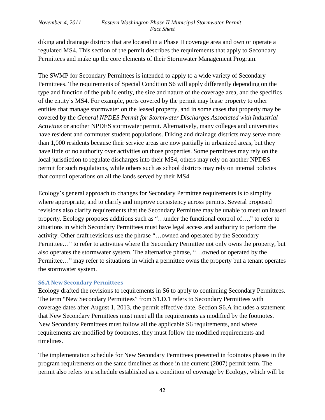diking and drainage districts that are located in a Phase II coverage area and own or operate a regulated MS4. This section of the permit describes the requirements that apply to Secondary Permittees and make up the core elements of their Stormwater Management Program.

The SWMP for Secondary Permittees is intended to apply to a wide variety of Secondary Permittees. The requirements of Special Condition S6 will apply differently depending on the type and function of the public entity, the size and nature of the coverage area, and the specifics of the entity's MS4. For example, ports covered by the permit may lease property to other entities that manage stormwater on the leased property, and in some cases that property may be covered by the *General NPDES Permit for Stormwater Discharges Associated with Industrial Activities* or another NPDES stormwater permit. Alternatively, many colleges and universities have resident and commuter student populations. Diking and drainage districts may serve more than 1,000 residents because their service areas are now partially in urbanized areas, but they have little or no authority over activities on those properties. Some permittees may rely on the local jurisdiction to regulate discharges into their MS4, others may rely on another NPDES permit for such regulations, while others such as school districts may rely on internal policies that control operations on all the lands served by their MS4.

Ecology's general approach to changes for Secondary Permittee requirements is to simplify where appropriate, and to clarify and improve consistency across permits. Several proposed revisions also clarify requirements that the Secondary Permittee may be unable to meet on leased property. Ecology proposes additions such as "…under the functional control of…," to refer to situations in which Secondary Permittees must have legal access and authority to perform the activity. Other draft revisions use the phrase "…owned and operated by the Secondary Permittee…" to refer to activities where the Secondary Permittee not only owns the property, but also operates the stormwater system. The alternative phrase, "…owned or operated by the Permittee…" may refer to situations in which a permittee owns the property but a tenant operates the stormwater system.

#### <span id="page-41-0"></span>**S6.A New Secondary Permittees**

Ecology drafted the revisions to requirements in S6 to apply to continuing Secondary Permittees. The term "New Secondary Permittees" from S1.D.1 refers to Secondary Permittees with coverage dates after August 1, 2013, the permit effective date. Section S6.A includes a statement that New Secondary Permittees must meet all the requirements as modified by the footnotes. New Secondary Permittees must follow all the applicable S6 requirements, and where requirements are modified by footnotes, they must follow the modified requirements and timelines.

The implementation schedule for New Secondary Permittees presented in footnotes phases in the program requirements on the same timelines as those in the current (2007) permit term. The permit also refers to a schedule established as a condition of coverage by Ecology, which will be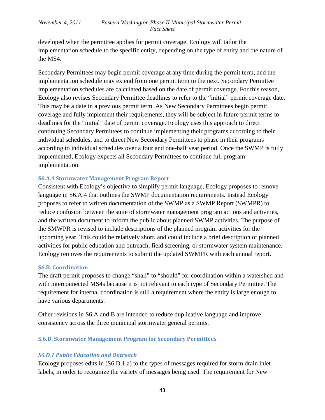developed when the permittee applies for permit coverage. Ecology will tailor the implementation schedule to the specific entity, depending on the type of entity and the nature of the MS4.

Secondary Permittees may begin permit coverage at any time during the permit term, and the implementation schedule may extend from one permit term to the next. Secondary Permittee implementation schedules are calculated based on the date of permit coverage. For this reason, Ecology also revises Secondary Permittee deadlines to refer to the "initial" permit coverage date. This may be a date in a previous permit term. As New Secondary Permittees begin permit coverage and fully implement their requirements, they will be subject in future permit terms to deadlines for the "initial" date of permit coverage. Ecology uses this approach to direct continuing Secondary Permittees to continue implementing their programs according to their individual schedules, and to direct New Secondary Permittees to phase in their programs according to individual schedules over a four and one-half year period. Once the SWMP is fully implemented, Ecology expects all Secondary Permittees to continue full program implementation.

#### **S6.A.4 Stormwater Management Program Report**

Consistent with Ecology's objective to simplify permit language, Ecology proposes to remove language in S6.A.4 that outlines the SWMP documentation requirements. Instead Ecology proposes to refer to written documentation of the SWMP as a SWMP Report (SWMPR) to reduce confusion between the suite of stormwater management program actions and activities, and the written document to inform the public about planned SWMP activities. The purpose of the SMWPR is revised to include descriptions of the planned program activities for the upcoming year. This could be relatively short, and could include a brief description of planned activities for public education and outreach, field screening, or stormwater system maintenance. Ecology removes the requirements to submit the updated SWMPR with each annual report.

#### **S6.B. Coordination**

The draft permit proposes to change "shall" to "should" for coordination within a watershed and with interconnected MS4s because it is not relevant to each type of Secondary Permittee. The requirement for internal coordination is still a requirement where the entity is large enough to have various departments.

Other revisions in S6.A and B are intended to reduce duplicative language and improve consistency across the three municipal stormwater general permits.

#### <span id="page-42-0"></span>**S.6.D. Stormwater Management Program for Secondary Permittees**

#### *S6.D.1 Public Education and Outreach*

Ecology proposes edits in (S6.D.1.a) to the types of messages required for storm drain inlet labels, in order to recognize the variety of messages being used. The requirement for New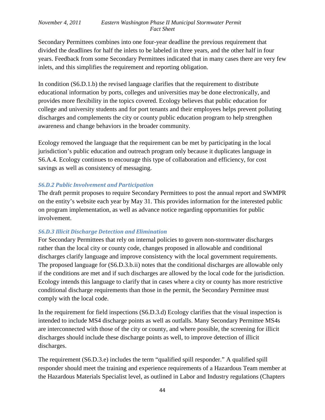Secondary Permittees combines into one four-year deadline the previous requirement that divided the deadlines for half the inlets to be labeled in three years, and the other half in four years. Feedback from some Secondary Permittees indicated that in many cases there are very few inlets, and this simplifies the requirement and reporting obligation.

In condition (S6.D.1.b) the revised language clarifies that the requirement to distribute educational information by ports, colleges and universities may be done electronically, and provides more flexibility in the topics covered. Ecology believes that public education for college and university students and for port tenants and their employees helps prevent polluting discharges and complements the city or county public education program to help strengthen awareness and change behaviors in the broader community.

Ecology removed the language that the requirement can be met by participating in the local jurisdiction's public education and outreach program only because it duplicates language in S6.A.4. Ecology continues to encourage this type of collaboration and efficiency, for cost savings as well as consistency of messaging.

### *S6.D.2 Public Involvement and Participation*

The draft permit proposes to require Secondary Permittees to post the annual report and SWMPR on the entity's website each year by May 31. This provides information for the interested public on program implementation, as well as advance notice regarding opportunities for public involvement.

## *S6.D.3 Illicit Discharge Detection and Elimination*

For Secondary Permittees that rely on internal policies to govern non-stormwater discharges rather than the local city or county code, changes proposed in allowable and conditional discharges clarify language and improve consistency with the local government requirements. The proposed language for (S6.D.3.b.ii) notes that the conditional discharges are allowable only if the conditions are met and if such discharges are allowed by the local code for the jurisdiction. Ecology intends this language to clarify that in cases where a city or county has more restrictive conditional discharge requirements than those in the permit, the Secondary Permittee must comply with the local code.

In the requirement for field inspections (S6.D.3.d) Ecology clarifies that the visual inspection is intended to include MS4 discharge points as well as outfalls. Many Secondary Permittee MS4s are interconnected with those of the city or county, and where possible, the screening for illicit discharges should include these discharge points as well, to improve detection of illicit discharges.

The requirement (S6.D.3.e) includes the term "qualified spill responder." A qualified spill responder should meet the training and experience requirements of a Hazardous Team member at the Hazardous Materials Specialist level, as outlined in Labor and Industry regulations (Chapters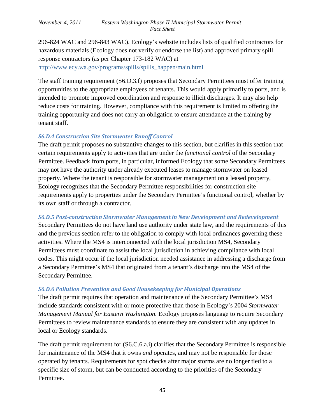296-824 WAC and 296-843 WAC). Ecology's website includes lists of qualified contractors for hazardous materials (Ecology does not verify or endorse the list) and approved primary spill response contractors (as per Chapter 173-182 WAC) at [http://www.ecy.wa.gov/programs/spills/spills\\_happen/main.html](http://www.ecy.wa.gov/programs/spills/spills_happen/main.html) 

The staff training requirement (S6.D.3.f) proposes that Secondary Permittees must offer training opportunities to the appropriate employees of tenants. This would apply primarily to ports, and is intended to promote improved coordination and response to illicit discharges. It may also help reduce costs for training. However, compliance with this requirement is limited to offering the training opportunity and does not carry an obligation to ensure attendance at the training by tenant staff.

## *S6.D.4 Construction Site Stormwater Runoff Control*

The draft permit proposes no substantive changes to this section, but clarifies in this section that certain requirements apply to activities that are under the *functional control* of the Secondary Permittee. Feedback from ports, in particular, informed Ecology that some Secondary Permittees may not have the authority under already executed leases to manage stormwater on leased property. Where the tenant is responsible for stormwater management on a leased property, Ecology recognizes that the Secondary Permittee responsibilities for construction site requirements apply to properties under the Secondary Permittee's functional control, whether by its own staff or through a contractor.

## *S6.D.5 Post-construction Stormwater Management in New Development and Redevelopment*

Secondary Permittees do not have land use authority under state law, and the requirements of this and the previous section refer to the obligation to comply with local ordinances governing these activities. Where the MS4 is interconnected with the local jurisdiction MS4, Secondary Permittees must coordinate to assist the local jurisdiction in achieving compliance with local codes. This might occur if the local jurisdiction needed assistance in addressing a discharge from a Secondary Permittee's MS4 that originated from a tenant's discharge into the MS4 of the Secondary Permittee.

## *S6.D.6 Pollution Prevention and Good Housekeeping for Municipal Operations*

The draft permit requires that operation and maintenance of the Secondary Permittee's MS4 include standards consistent with or more protective than those in Ecology's 2004 *Stormwater Management Manual for Eastern Washington.* Ecology proposes language to require Secondary Permittees to review maintenance standards to ensure they are consistent with any updates in local or Ecology standards.

The draft permit requirement for (S6.C.6.a.i) clarifies that the Secondary Permittee is responsible for maintenance of the MS4 that it owns *and* operates, and may not be responsible for those operated by tenants. Requirements for spot checks after major storms are no longer tied to a specific size of storm, but can be conducted according to the priorities of the Secondary Permittee.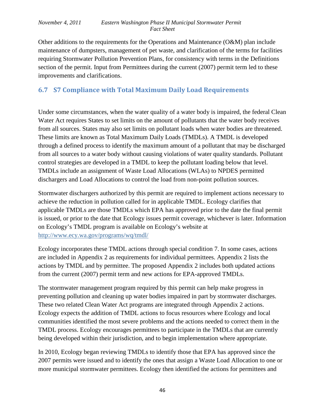Other additions to the requirements for the Operations and Maintenance (O&M) plan include maintenance of dumpsters, management of pet waste, and clarification of the terms for facilities requiring Stormwater Pollution Prevention Plans, for consistency with terms in the Definitions section of the permit. Input from Permittees during the current (2007) permit term led to these improvements and clarifications.

# <span id="page-45-0"></span>**6.7 S7 Compliance with Total Maximum Daily Load Requirements**

Under some circumstances, when the water quality of a water body is impaired, the federal Clean Water Act requires States to set limits on the amount of pollutants that the water body receives from all sources. States may also set limits on pollutant loads when water bodies are threatened. These limits are known as Total Maximum Daily Loads (TMDLs). A TMDL is developed through a defined process to identify the maximum amount of a pollutant that may be discharged from all sources to a water body without causing violations of water quality standards. Pollutant control strategies are developed in a TMDL to keep the pollutant loading below that level. TMDLs include an assignment of Waste Load Allocations (WLAs) to NPDES permitted dischargers and Load Allocations to control the load from non-point pollution sources.

Stormwater dischargers authorized by this permit are required to implement actions necessary to achieve the reduction in pollution called for in applicable TMDL. Ecology clarifies that applicable TMDLs are those TMDLs which EPA has approved prior to the date the final permit is issued, or prior to the date that Ecology issues permit coverage, whichever is later. Information on Ecology's TMDL program is available on Ecology's website at <http://www.ecy.wa.gov/programs/wq/tmdl/>

Ecology incorporates these TMDL actions through special condition 7. In some cases, actions are included in Appendix 2 as requirements for individual permittees. Appendix 2 lists the actions by TMDL and by permittee. The proposed Appendix 2 includes both updated actions from the current (2007) permit term and new actions for EPA-approved TMDLs.

The stormwater management program required by this permit can help make progress in preventing pollution and cleaning up water bodies impaired in part by stormwater discharges. These two related Clean Water Act programs are integrated through Appendix 2 actions. Ecology expects the addition of TMDL actions to focus resources where Ecology and local communities identified the most severe problems and the actions needed to correct them in the TMDL process. Ecology encourages permittees to participate in the TMDLs that are currently being developed within their jurisdiction, and to begin implementation where appropriate.

In 2010, Ecology began reviewing TMDLs to identify those that EPA has approved since the 2007 permits were issued and to identify the ones that assign a Waste Load Allocation to one or more municipal stormwater permittees. Ecology then identified the actions for permittees and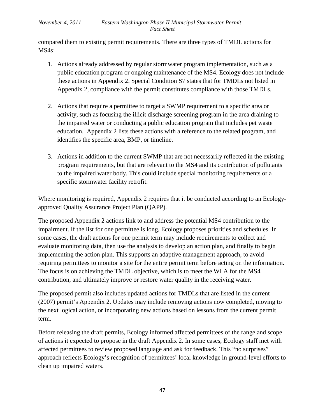compared them to existing permit requirements. There are three types of TMDL actions for MS4s:

- 1. Actions already addressed by regular stormwater program implementation, such as a public education program or ongoing maintenance of the MS4. Ecology does not include these actions in Appendix 2. Special Condition S7 states that for TMDLs not listed in Appendix 2, compliance with the permit constitutes compliance with those TMDLs.
- 2. Actions that require a permittee to target a SWMP requirement to a specific area or activity, such as focusing the illicit discharge screening program in the area draining to the impaired water or conducting a public education program that includes pet waste education. Appendix 2 lists these actions with a reference to the related program, and identifies the specific area, BMP, or timeline.
- 3. Actions in addition to the current SWMP that are not necessarily reflected in the existing program requirements, but that are relevant to the MS4 and its contribution of pollutants to the impaired water body. This could include special monitoring requirements or a specific stormwater facility retrofit.

Where monitoring is required, Appendix 2 requires that it be conducted according to an Ecologyapproved Quality Assurance Project Plan (QAPP).

The proposed Appendix 2 actions link to and address the potential MS4 contribution to the impairment. If the list for one permittee is long, Ecology proposes priorities and schedules. In some cases, the draft actions for one permit term may include requirements to collect and evaluate monitoring data, then use the analysis to develop an action plan, and finally to begin implementing the action plan. This supports an adaptive management approach, to avoid requiring permittees to monitor a site for the entire permit term before acting on the information. The focus is on achieving the TMDL objective, which is to meet the WLA for the MS4 contribution, and ultimately improve or restore water quality in the receiving water.

The proposed permit also includes updated actions for TMDLs that are listed in the current (2007) permit's Appendix 2. Updates may include removing actions now completed, moving to the next logical action, or incorporating new actions based on lessons from the current permit term.

Before releasing the draft permits, Ecology informed affected permittees of the range and scope of actions it expected to propose in the draft Appendix 2. In some cases, Ecology staff met with affected permittees to review proposed language and ask for feedback. This "no surprises" approach reflects Ecology's recognition of permittees' local knowledge in ground-level efforts to clean up impaired waters.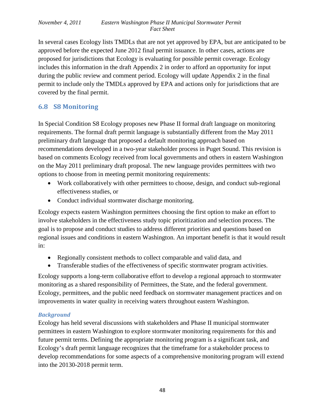In several cases Ecology lists TMDLs that are not yet approved by EPA, but are anticipated to be approved before the expected June 2012 final permit issuance. In other cases, actions are proposed for jurisdictions that Ecology is evaluating for possible permit coverage. Ecology includes this information in the draft Appendix 2 in order to afford an opportunity for input during the public review and comment period. Ecology will update Appendix 2 in the final permit to include only the TMDLs approved by EPA and actions only for jurisdictions that are covered by the final permit.

## <span id="page-47-0"></span>**6.8 S8 Monitoring**

In Special Condition S8 Ecology proposes new Phase II formal draft language on monitoring requirements. The formal draft permit language is substantially different from the May 2011 preliminary draft language that proposed a default monitoring approach based on recommendations developed in a two-year stakeholder process in Puget Sound. This revision is based on comments Ecology received from local governments and others in eastern Washington on the May 2011 preliminary draft proposal. The new language provides permittees with two options to choose from in meeting permit monitoring requirements:

- Work collaboratively with other permittees to choose, design, and conduct sub-regional effectiveness studies, or
- Conduct individual stormwater discharge monitoring.

Ecology expects eastern Washington permittees choosing the first option to make an effort to involve stakeholders in the effectiveness study topic prioritization and selection process. The goal is to propose and conduct studies to address different priorities and questions based on regional issues and conditions in eastern Washington. An important benefit is that it would result in:

- Regionally consistent methods to collect comparable and valid data, and
- Transferable studies of the effectiveness of specific stormwater program activities.

Ecology supports a long-term collaborative effort to develop a regional approach to stormwater monitoring as a shared responsibility of Permittees, the State, and the federal government. Ecology, permittees, and the public need feedback on stormwater management practices and on improvements in water quality in receiving waters throughout eastern Washington.

#### *Background*

Ecology has held several discussions with stakeholders and Phase II municipal stormwater permittees in eastern Washington to explore stormwater monitoring requirements for this and future permit terms. Defining the appropriate monitoring program is a significant task, and Ecology's draft permit language recognizes that the timeframe for a stakeholder process to develop recommendations for some aspects of a comprehensive monitoring program will extend into the 20130-2018 permit term.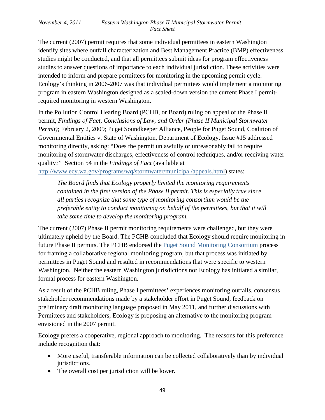The current (2007) permit requires that some individual permittees in eastern Washington identify sites where outfall characterization and Best Management Practice (BMP) effectiveness studies might be conducted, and that all permittees submit ideas for program effectiveness studies to answer questions of importance to each individual jurisdiction. These activities were intended to inform and prepare permittees for monitoring in the upcoming permit cycle. Ecology's thinking in 2006-2007 was that individual permittees would implement a monitoring program in eastern Washington designed as a scaled-down version the current Phase I permitrequired monitoring in western Washington.

In the Pollution Control Hearing Board (PCHB, or Board) ruling on appeal of the Phase II permit, *Findings of Fact, Conclusions of Law, and Order (Phase II Municipal Stormwater Permit*); February 2, 2009; Puget Soundkeeper Alliance, People for Puget Sound, Coalition of Governmental Entities v. State of Washington, Department of Ecology, Issue #15 addressed monitoring directly, asking: "Does the permit unlawfully or unreasonably fail to require monitoring of stormwater discharges, effectiveness of control techniques, and/or receiving water quality?" Section 54 in the *Findings of Fact* (available at [http://www.ecy.wa.gov/programs/wq/stormwater/municipal/appeals.html\)](http://www.ecy.wa.gov/programs/wq/stormwater/municipal/appeals.html) states:

*The Board finds that Ecology properly limited the monitoring requirements contained in the first version of the Phase II permit. This is especially true since all parties recognize that some type of monitoring consortium would be the preferable entity to conduct monitoring on behalf of the permittees, but that it will take some time to develop the monitoring program.* 

The current (2007) Phase II permit monitoring requirements were challenged, but they were ultimately upheld by the Board. The PCHB concluded that Ecology should require monitoring in future Phase II permits. The PCHB endorsed the [Puget Sound Monitoring Consortium](http://www.ecy.wa.gov/programs/wq/psmonitoring/index.html) process for framing a collaborative regional monitoring program, but that process was initiated by permittees in Puget Sound and resulted in recommendations that were specific to western Washington. Neither the eastern Washington jurisdictions nor Ecology has initiated a similar, formal process for eastern Washington.

As a result of the PCHB ruling, Phase I permittees' experiences monitoring outfalls, consensus stakeholder recommendations made by a stakeholder effort in Puget Sound, feedback on preliminary draft monitoring language proposed in May 2011, and further discussions with Permittees and stakeholders, Ecology is proposing an alternative to the monitoring program envisioned in the 2007 permit.

Ecology prefers a cooperative, regional approach to monitoring. The reasons for this preference include recognition that:

- More useful, transferable information can be collected collaboratively than by individual jurisdictions.
- The overall cost per jurisdiction will be lower.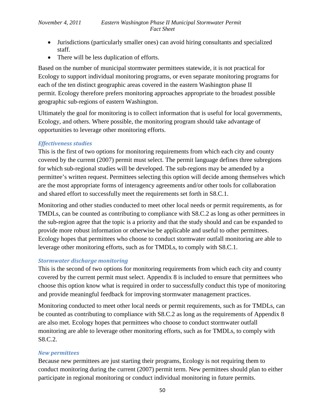- Jurisdictions (particularly smaller ones) can avoid hiring consultants and specialized staff.
- There will be less duplication of efforts.

Based on the number of municipal stormwater permittees statewide, it is not practical for Ecology to support individual monitoring programs, or even separate monitoring programs for each of the ten distinct geographic areas covered in the eastern Washington phase II permit. Ecology therefore prefers monitoring approaches appropriate to the broadest possible geographic sub-regions of eastern Washington.

Ultimately the goal for monitoring is to collect information that is useful for local governments, Ecology, and others. Where possible, the monitoring program should take advantage of opportunities to leverage other monitoring efforts.

## *Effectiveness studies*

This is the first of two options for monitoring requirements from which each city and county covered by the current (2007) permit must select. The permit language defines three subregions for which sub-regional studies will be developed. The sub-regions may be amended by a permittee's written request. Permittees selecting this option will decide among themselves which are the most appropriate forms of interagency agreements and/or other tools for collaboration and shared effort to successfully meet the requirements set forth in S8.C.1.

Monitoring and other studies conducted to meet other local needs or permit requirements, as for TMDLs, can be counted as contributing to compliance with S8.C.2 as long as other permittees in the sub-region agree that the topic is a priority and that the study should and can be expanded to provide more robust information or otherwise be applicable and useful to other permittees. Ecology hopes that permittees who choose to conduct stormwater outfall monitoring are able to leverage other monitoring efforts, such as for TMDLs, to comply with S8.C.1.

## *Stormwater discharge monitoring*

This is the second of two options for monitoring requirements from which each city and county covered by the current permit must select. Appendix 8 is included to ensure that permittees who choose this option know what is required in order to successfully conduct this type of monitoring and provide meaningful feedback for improving stormwater management practices.

Monitoring conducted to meet other local needs or permit requirements, such as for TMDLs, can be counted as contributing to compliance with S8.C.2 as long as the requirements of Appendix 8 are also met. Ecology hopes that permittees who choose to conduct stormwater outfall monitoring are able to leverage other monitoring efforts, such as for TMDLs, to comply with S8.C.2.

## *New permittees*

Because new permittees are just starting their programs, Ecology is not requiring them to conduct monitoring during the current (2007) permit term. New permittees should plan to either participate in regional monitoring or conduct individual monitoring in future permits.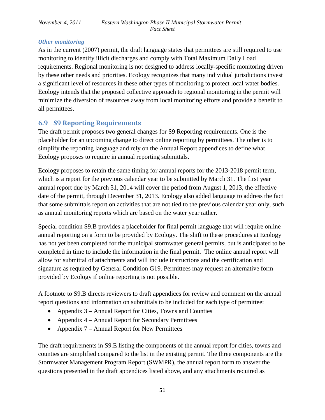## *Other monitoring*

As in the current (2007) permit, the draft language states that permittees are still required to use monitoring to identify illicit discharges and comply with Total Maximum Daily Load requirements. Regional monitoring is not designed to address locally-specific monitoring driven by these other needs and priorities. Ecology recognizes that many individual jurisdictions invest a significant level of resources in these other types of monitoring to protect local water bodies. Ecology intends that the proposed collective approach to regional monitoring in the permit will minimize the diversion of resources away from local monitoring efforts and provide a benefit to all permittees.

## <span id="page-50-0"></span>**6.9 S9 Reporting Requirements**

The draft permit proposes two general changes for S9 Reporting requirements. One is the placeholder for an upcoming change to direct online reporting by permittees. The other is to simplify the reporting language and rely on the Annual Report appendices to define what Ecology proposes to require in annual reporting submittals.

Ecology proposes to retain the same timing for annual reports for the 2013-2018 permit term, which is a report for the previous calendar year to be submitted by March 31. The first year annual report due by March 31, 2014 will cover the period from August 1, 2013, the effective date of the permit, through December 31, 2013. Ecology also added language to address the fact that some submittals report on activities that are not tied to the previous calendar year only, such as annual monitoring reports which are based on the water year rather.

Special condition S9.B provides a placeholder for final permit language that will require online annual reporting on a form to be provided by Ecology. The shift to these procedures at Ecology has not yet been completed for the municipal stormwater general permits, but is anticipated to be completed in time to include the information in the final permit. The online annual report will allow for submittal of attachments and will include instructions and the certification and signature as required by General Condition G19. Permittees may request an alternative form provided by Ecology if online reporting is not possible.

A footnote to S9.B directs reviewers to draft appendices for review and comment on the annual report questions and information on submittals to be included for each type of permittee:

- Appendix 3 Annual Report for Cities, Towns and Counties
- Appendix 4 Annual Report for Secondary Permittees
- Appendix 7 Annual Report for New Permittees

The draft requirements in S9.E listing the components of the annual report for cities, towns and counties are simplified compared to the list in the existing permit. The three components are the Stormwater Management Program Report (SWMPR), the annual report form to answer the questions presented in the draft appendices listed above, and any attachments required as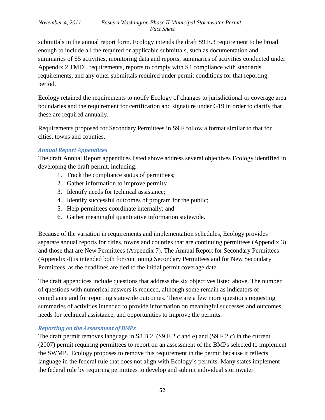submittals in the annual report form. Ecology intends the draft S9.E.3 requirement to be broad enough to include all the required or applicable submittals, such as documentation and summaries of S5 activities, monitoring data and reports, summaries of activities conducted under Appendix 2 TMDL requirements, reports to comply with S4 compliance with standards requirements, and any other submittals required under permit conditions for that reporting period.

Ecology retained the requirements to notify Ecology of changes to jurisdictional or coverage area boundaries and the requirement for certification and signature under G19 in order to clarify that these are required annually.

Requirements proposed for Secondary Permittees in S9.F follow a format similar to that for cities, towns and counties.

### *Annual Report Appendices*

The draft Annual Report appendices listed above address several objectives Ecology identified in developing the draft permit, including:

- 1. Track the compliance status of permittees;
- 2. Gather information to improve permits;
- 3. Identify needs for technical assistance;
- 4. Identify successful outcomes of program for the public;
- 5. Help permittees coordinate internally; and
- 6. Gather meaningful quantitative information statewide.

Because of the variation in requirements and implementation schedules, Ecology provides separate annual reports for cities, towns and counties that are continuing permittees (Appendix 3) and those that are New Permittees (Appendix 7). The Annual Report for Secondary Permittees (Appendix 4) is intended both for continuing Secondary Permittees and for New Secondary Permittees, as the deadlines are tied to the initial permit coverage date.

The draft appendices include questions that address the six objectives listed above. The number of questions with numerical answers is reduced, although some remain as indicators of compliance and for reporting statewide outcomes. There are a few more questions requesting summaries of activities intended to provide information on meaningful successes and outcomes, needs for technical assistance, and opportunities to improve the permits.

## *Reporting on the Assessment of BMPs*

The draft permit removes language in S8.B.2, (S9.E.2.c and e) and (S9.F.2.c) in the current (2007) permit requiring permittees to report on an assessment of the BMPs selected to implement the SWMP. Ecology proposes to remove this requirement in the permit because it reflects language in the federal rule that does not align with Ecology's permits. Many states implement the federal rule by requiring permittees to develop and submit individual stormwater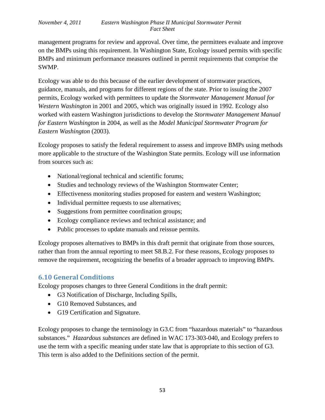management programs for review and approval. Over time, the permittees evaluate and improve on the BMPs using this requirement. In Washington State, Ecology issued permits with specific BMPs and minimum performance measures outlined in permit requirements that comprise the SWMP.

Ecology was able to do this because of the earlier development of stormwater practices, guidance, manuals, and programs for different regions of the state. Prior to issuing the 2007 permits, Ecology worked with permittees to update the *Stormwater Management Manual for Western Washington* in 2001 and 2005, which was originally issued in 1992. Ecology also worked with eastern Washington jurisdictions to develop the *Stormwater Management Manual for Eastern Washington* in 2004, as well as the *Model Municipal Stormwater Program for Eastern Washington* (2003).

Ecology proposes to satisfy the federal requirement to assess and improve BMPs using methods more applicable to the structure of the Washington State permits. Ecology will use information from sources such as:

- National/regional technical and scientific forums;
- Studies and technology reviews of the Washington Stormwater Center;
- Effectiveness monitoring studies proposed for eastern and western Washington;
- Individual permittee requests to use alternatives;
- Suggestions from permittee coordination groups;
- Ecology compliance reviews and technical assistance; and
- Public processes to update manuals and reissue permits.

Ecology proposes alternatives to BMPs in this draft permit that originate from those sources, rather than from the annual reporting to meet S8.B.2. For these reasons, Ecology proposes to remove the requirement, recognizing the benefits of a broader approach to improving BMPs.

# <span id="page-52-0"></span>**6.10 General Conditions**

Ecology proposes changes to three General Conditions in the draft permit:

- G3 Notification of Discharge, Including Spills,
- G10 Removed Substances, and
- G19 Certification and Signature.

Ecology proposes to change the terminology in G3.C from "hazardous materials" to "hazardous substances." *Hazardous substances* are defined in WAC 173-303-040, and Ecology prefers to use the term with a specific meaning under state law that is appropriate to this section of G3. This term is also added to the Definitions section of the permit.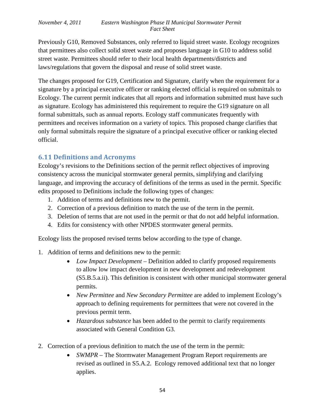Previously G10, Removed Substances, only referred to liquid street waste. Ecology recognizes that permittees also collect solid street waste and proposes language in G10 to address solid street waste. Permittees should refer to their local health departments/districts and laws/regulations that govern the disposal and reuse of solid street waste.

The changes proposed for G19, Certification and Signature, clarify when the requirement for a signature by a principal executive officer or ranking elected official is required on submittals to Ecology. The current permit indicates that all reports and information submitted must have such as signature. Ecology has administered this requirement to require the G19 signature on all formal submittals, such as annual reports. Ecology staff communicates frequently with permittees and receives information on a variety of topics. This proposed change clarifies that only formal submittals require the signature of a principal executive officer or ranking elected official.

## <span id="page-53-0"></span>**6.11 Definitions and Acronyms**

Ecology's revisions to the Definitions section of the permit reflect objectives of improving consistency across the municipal stormwater general permits, simplifying and clarifying language, and improving the accuracy of definitions of the terms as used in the permit. Specific edits proposed to Definitions include the following types of changes:

- 1. Addition of terms and definitions new to the permit.
- 2. Correction of a previous definition to match the use of the term in the permit.
- 3. Deletion of terms that are not used in the permit or that do not add helpful information.
- 4. Edits for consistency with other NPDES stormwater general permits.

Ecology lists the proposed revised terms below according to the type of change.

- 1. Addition of terms and definitions new to the permit:
	- *Low Impact Development* Definition added to clarify proposed requirements to allow low impact development in new development and redevelopment (S5.B.5.a.ii). This definition is consistent with other municipal stormwater general permits.
	- *New Permittee* and *New Secondary Permittee* are added to implement Ecology's approach to defining requirements for permittees that were not covered in the previous permit term.
	- *Hazardous substance* has been added to the permit to clarify requirements associated with General Condition G3.
- 2. Correction of a previous definition to match the use of the term in the permit:
	- *SWMPR* The Stormwater Management Program Report requirements are revised as outlined in S5.A.2. Ecology removed additional text that no longer applies.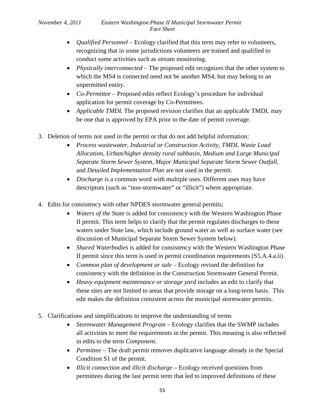- *Qualified Personnel* Ecology clarified that this term may refer to volunteers, recognizing that in some jurisdictions volunteers are trained and qualified to conduct some activities such as stream monitoring.
- *Physically interconnected* The proposed edit recognizes that the other system to which the MS4 is connected need not be another MS4, but may belong to an unpermitted entity.
- *Co-Permittee* Proposed edits reflect Ecology's procedure for individual application for permit coverage by Co-Permittees.
- *Applicable TMDL* The proposed revision clarifies that an applicable TMDL may be one that is approved by EPA prior to the date of permit coverage.
- 3. Deletion of terms not used in the permit or that do not add helpful information:
	- *Process wastewater, Industrial or Construction Activity, TMDL Waste Load Allocation, Urban/higher density rural subbasin, Medium and Large Municipal Separate Storm Sewer System, Major Municipal Separate Storm Sewer Outfall,*  and *Detailed Implementation Plan* are not used in the permit.
	- *Discharge is a common word with multiple uses. Different uses may have* descriptors (such as "non-stormwater" or "illicit") where appropriate.
- 4. Edits for consistency with other NPDES stormwater general permits;
	- *Waters of the State* is added for consistency with the Western Washington Phase II permit. This term helps to clarify that the permit regulates discharges to these waters under State law, which include ground water as well as surface water (see discussion of Municipal Separate Storm Sewer System below).
	- *Shared Waterbodies* is added for consistency with the Western Washington Phase II permit since this term is used in permit coordination requirements (S5.A.4.a.ii).
	- *Common plan of development or sale –* Ecology revised the definition for consistency with the definition in the Construction Stormwater General Permit*.*
	- *Heavy equipment maintenance or storage yard* includes an edit to clarify that these sites are not limited to areas that provide storage on a long-term basis. This edit makes the definition consistent across the municipal stormwater permits.
- 5. Clarifications and simplifications to improve the understanding of terms
	- *Stormwater Management Program* Ecology clarifies that the SWMP includes all activities to meet the requirements in the permit. This meaning is also reflected in edits to the term *Component.*
	- *Permittee* The draft permit removes duplicative language already in the Special Condition S1 of the permit.
	- *Illicit connection* and *illicit discharge* Ecology received questions from permittees during the last permit term that led to improved definitions of these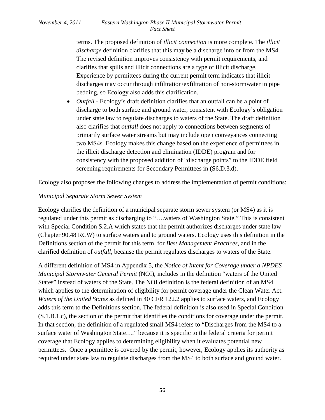terms. The proposed definition of *illicit connection* is more complete. The *illicit discharge* definition clarifies that this may be a discharge into or from the MS4. The revised definition improves consistency with permit requirements, and clarifies that spills and illicit connections are a type of illicit discharge. Experience by permittees during the current permit term indicates that illicit discharges may occur through infiltration/exfiltration of non-stormwater in pipe bedding, so Ecology also adds this clarification.

• *Outfall* - Ecology's draft definition clarifies that an outfall can be a point of discharge to both surface and ground water, consistent with Ecology's obligation under state law to regulate discharges to waters of the State. The draft definition also clarifies that *outfall* does not apply to connections between segments of primarily surface water streams but may include open conveyances connecting two MS4s. Ecology makes this change based on the experience of permittees in the illicit discharge detection and elimination (IDDE) program and for consistency with the proposed addition of "discharge points" to the IDDE field screening requirements for Secondary Permittees in (S6.D.3.d).

Ecology also proposes the following changes to address the implementation of permit conditions:

### *Municipal Separate Storm Sewer System*

Ecology clarifies the definition of a municipal separate storm sewer system (or MS4) as it is regulated under this permit as discharging to "….waters of Washington State." This is consistent with Special Condition S.2.A which states that the permit authorizes discharges under state law (Chapter 90.48 RCW) to surface waters and to ground waters. Ecology uses this definition in the Definitions section of the permit for this term, for *Best Management Practices,* and in the clarified definition of *outfall,* because the permit regulates discharges to waters of the State.

A different definition of MS4 in Appendix 5, the *Notice of Intent for Coverage under a NPDES Municipal Stormwater General Permit* (NOI), includes in the definition "waters of the United States" instead of waters of the State. The NOI definition is the federal definition of an MS4 which applies to the determination of eligibility for permit coverage under the Clean Water Act. *Waters of the United States* as defined in 40 CFR 122.2 applies to surface waters, and Ecology adds this term to the Definitions section. The federal definition is also used in Special Condition (S.1.B.1.c), the section of the permit that identifies the conditions for coverage under the permit. In that section, the definition of a regulated small MS4 refers to "Discharges from the MS4 to a surface water of Washington State…." because it is specific to the federal criteria for permit coverage that Ecology applies to determining eligibility when it evaluates potential new permittees. Once a permittee is covered by the permit, however, Ecology applies its authority as required under state law to regulate discharges from the MS4 to both surface and ground water.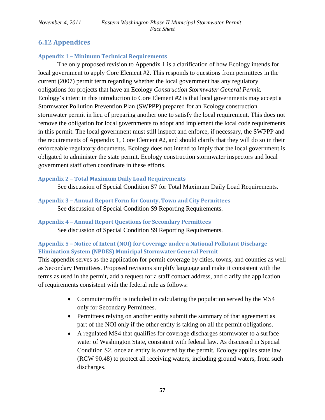# <span id="page-56-0"></span>**6.12 Appendices**

## <span id="page-56-1"></span>**Appendix 1 – Minimum Technical Requirements**

The only proposed revision to Appendix 1 is a clarification of how Ecology intends for local government to apply Core Element #2. This responds to questions from permittees in the current (2007) permit term regarding whether the local government has any regulatory obligations for projects that have an Ecology *Construction Stormwater General Permit.* Ecology's intent in this introduction to Core Element #2 is that local governments may accept a Stormwater Pollution Prevention Plan (SWPPP) prepared for an Ecology construction stormwater permit in lieu of preparing another one to satisfy the local requirement. This does not remove the obligation for local governments to adopt and implement the local code requirements in this permit. The local government must still inspect and enforce, if necessary, the SWPPP and the requirements of Appendix 1, Core Element #2, and should clarify that they will do so in their enforceable regulatory documents. Ecology does not intend to imply that the local government is obligated to administer the state permit. Ecology construction stormwater inspectors and local government staff often coordinate in these efforts.

## <span id="page-56-2"></span>**Appendix 2 – Total Maximum Daily Load Requirements**

See discussion of Special Condition S7 for Total Maximum Daily Load Requirements.

## <span id="page-56-3"></span>**Appendix 3 – Annual Report Form for County, Town and City Permittees** See discussion of Special Condition S9 Reporting Requirements.

# <span id="page-56-4"></span>**Appendix 4 – Annual Report Questions for Secondary Permittees**

See discussion of Special Condition S9 Reporting Requirements.

## <span id="page-56-5"></span>**Appendix 5 – Notice of Intent (NOI) for Coverage under a National Pollutant Discharge Elimination System (NPDES) Municipal Stormwater General Permit**

This appendix serves as the application for permit coverage by cities, towns, and counties as well as Secondary Permittees. Proposed revisions simplify language and make it consistent with the terms as used in the permit, add a request for a staff contact address, and clarify the application of requirements consistent with the federal rule as follows:

- Commuter traffic is included in calculating the population served by the MS4 only for Secondary Permittees.
- Permittees relying on another entity submit the summary of that agreement as part of the NOI only if the other entity is taking on all the permit obligations.
- A regulated MS4 that qualifies for coverage discharges stormwater to a surface water of Washington State, consistent with federal law. As discussed in Special Condition S2, once an entity is covered by the permit, Ecology applies state law (RCW 90.48) to protect all receiving waters, including ground waters, from such discharges.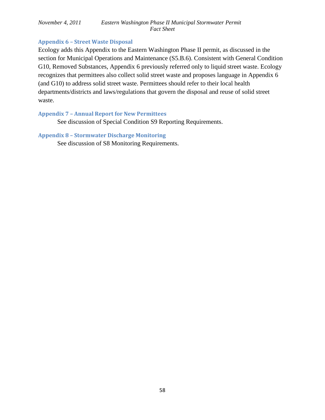### <span id="page-57-0"></span>**Appendix 6 – Street Waste Disposal**

Ecology adds this Appendix to the Eastern Washington Phase II permit, as discussed in the section for Municipal Operations and Maintenance (S5.B.6). Consistent with General Condition G10, Removed Substances, Appendix 6 previously referred only to liquid street waste. Ecology recognizes that permittees also collect solid street waste and proposes language in Appendix 6 (and G10) to address solid street waste. Permittees should refer to their local health departments/districts and laws/regulations that govern the disposal and reuse of solid street waste.

#### <span id="page-57-1"></span>**Appendix 7 – Annual Report for New Permittees**

See discussion of Special Condition S9 Reporting Requirements.

#### <span id="page-57-2"></span>**Appendix 8 – Stormwater Discharge Monitoring**

See discussion of S8 Monitoring Requirements.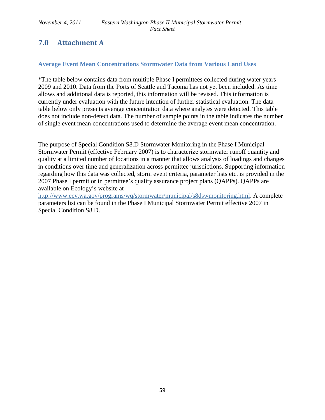# <span id="page-58-0"></span>**7.0 Attachment A**

## **Average Event Mean Concentrations Stormwater Data from Various Land Uses**

\*The table below contains data from multiple Phase I permittees collected during water years 2009 and 2010. Data from the Ports of Seattle and Tacoma has not yet been included. As time allows and additional data is reported, this information will be revised. This information is currently under evaluation with the future intention of further statistical evaluation. The data table below only presents average concentration data where analytes were detected. This table does not include non-detect data. The number of sample points in the table indicates the number of single event mean concentrations used to determine the average event mean concentration.

The purpose of Special Condition S8.D Stormwater Monitoring in the Phase I Municipal Stormwater Permit (effective February 2007) is to characterize stormwater runoff quantity and quality at a limited number of locations in a manner that allows analysis of loadings and changes in conditions over time and generalization across permittee jurisdictions. Supporting information regarding how this data was collected, storm event criteria, parameter lists etc. is provided in the 2007 Phase I permit or in permittee's quality assurance project plans (QAPPs). QAPPs are available on Ecology's website at

[http://www.ecy.wa.gov/programs/wq/stormwater/municipal/s8dswmonitoring.html.](http://www.ecy.wa.gov/programs/wq/stormwater/municipal/s8dswmonitoring.html) A complete parameters list can be found in the Phase I Municipal Stormwater Permit effective 2007 in Special Condition S8.D.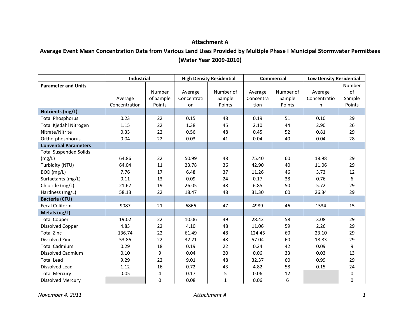## **Attachment A**

# **Average Event Mean Concentration Data from Various Land Uses Provided by Multiple Phase I Municipal Stormwater Permittees (Water Year 2009-2010)**

|                               | Industrial    |           | <b>High Density Residential</b> |              | <b>Commercial</b> |           | <b>Low Density Residential</b> |             |
|-------------------------------|---------------|-----------|---------------------------------|--------------|-------------------|-----------|--------------------------------|-------------|
| <b>Parameter and Units</b>    |               |           |                                 |              |                   |           |                                | Number      |
|                               |               | Number    | Average                         | Number of    | Average           | Number of | Average                        | of          |
|                               | Average       | of Sample | Concentrati                     | Sample       | Concentra         | Sample    | Concentratio                   | Sample      |
|                               | Concentration | Points    | on                              | Points       | tion              | Points    | n                              | Points      |
| <b>Nutrients (mg/L)</b>       |               |           |                                 |              |                   |           |                                |             |
| <b>Total Phosphorus</b>       | 0.23          | 22        | 0.15                            | 48           | 0.19              | 51        | 0.10                           | 29          |
| Total Kjedahl Nitrogen        | 1.15          | 22        | 1.38                            | 45           | 2.10              | 44        | 2.90                           | 26          |
| Nitrate/Nitrite               | 0.33          | 22        | 0.56                            | 48           | 0.45              | 52        | 0.81                           | 29          |
| Ortho-phosphorus              | 0.04          | 22        | 0.03                            | 41           | 0.04              | 40        | 0.04                           | 28          |
| <b>Convential Parameters</b>  |               |           |                                 |              |                   |           |                                |             |
| <b>Total Suspended Solids</b> |               |           |                                 |              |                   |           |                                |             |
| (mg/L)                        | 64.86         | 22        | 50.99                           | 48           | 75.40             | 60        | 18.98                          | 29          |
| Turbidity (NTU)               | 64.04         | 11        | 23.78                           | 36           | 42.90             | 40        | 11.06                          | 29          |
| BOD (mg/L)                    | 7.76          | 17        | 6.48                            | 37           | 11.26             | 46        | 3.73                           | 12          |
| Surfactants (mg/L)            | 0.11          | 13        | 0.09                            | 24           | 0.17              | 38        | 0.76                           | 6           |
| Chloride (mg/L)               | 21.67         | 19        | 26.05                           | 48           | 6.85              | 50        | 5.72                           | 29          |
| Hardness (mg/L)               | 58.13         | 22        | 18.47                           | 48           | 31.30             | 60        | 26.34                          | 29          |
| <b>Bacteria (CFU)</b>         |               |           |                                 |              |                   |           |                                |             |
| <b>Fecal Coliform</b>         | 9087          | 21        | 6866                            | 47           | 4989              | 46        | 1534                           | 15          |
| Metals (ug/L)                 |               |           |                                 |              |                   |           |                                |             |
| <b>Total Copper</b>           | 19.02         | 22        | 10.06                           | 49           | 28.42             | 58        | 3.08                           | 29          |
| <b>Dissolved Copper</b>       | 4.83          | 22        | 4.10                            | 48           | 11.06             | 59        | 2.26                           | 29          |
| <b>Total Zinc</b>             | 136.74        | 22        | 61.49                           | 48           | 124.45            | 60        | 23.10                          | 29          |
| Dissolved Zinc                | 53.86         | 22        | 32.21                           | 48           | 57.04             | 60        | 18.83                          | 29          |
| <b>Total Cadmium</b>          | 0.29          | 18        | 0.19                            | 22           | 0.24              | 42        | 0.09                           | 9           |
| <b>Dissolved Cadmium</b>      | 0.10          | 9         | 0.04                            | 20           | 0.06              | 33        | 0.03                           | 13          |
| <b>Total Lead</b>             | 9.29          | 22        | 9.01                            | 48           | 32.37             | 60        | 0.99                           | 29          |
| Dissolved Lead                | 1.12          | 16        | 0.72                            | 43           | 4.82              | 58        | 0.15                           | 24          |
| <b>Total Mercury</b>          | 0.05          | 4         | 0.17                            | 5            | 0.06              | 12        |                                | 0           |
| <b>Dissolved Mercury</b>      |               | $\Omega$  | 0.08                            | $\mathbf{1}$ | 0.06              | 6         |                                | $\mathbf 0$ |

*November 4, 2011 Attachment A 1*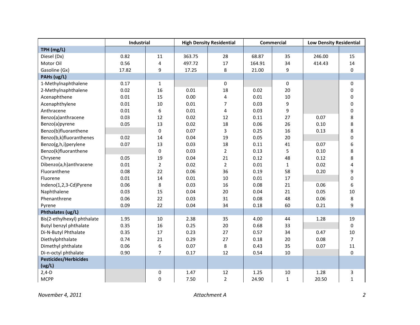|                              | Industrial |                  | <b>High Density Residential</b> |                | <b>Commercial</b> |              | <b>Low Density Residential</b> |              |
|------------------------------|------------|------------------|---------------------------------|----------------|-------------------|--------------|--------------------------------|--------------|
| TPH (mg/L)                   |            |                  |                                 |                |                   |              |                                |              |
| Diesel (Dx)                  | 0.82       | 11               | 363.75                          | 28             | 68.87             | 35           | 246.00                         | 15           |
| Motor Oil                    | 0.56       | $\overline{4}$   | 497.72                          | 17             | 164.91            | 34           | 414.43                         | 14           |
| Gasoline (Gx)                | 17.82      | 9                | 17.25                           | 8              | 21.00             | 9            |                                | 0            |
| PAHs (ug/L)                  |            |                  |                                 |                |                   |              |                                |              |
| 1-Methylnaphthalene          | 0.17       | $\mathbf{1}$     |                                 | $\mathbf 0$    |                   | 0            |                                | 0            |
| 2-Methylnaphthalene          | 0.02       | 16               | 0.01                            | 18             | 0.02              | 20           |                                | 0            |
| Acenaphthene                 | 0.01       | 15               | 0.00                            | $\overline{4}$ | 0.01              | 10           |                                | 0            |
| Acenaphthylene               | 0.01       | 10               | 0.01                            | $\overline{7}$ | 0.03              | 9            |                                | $\pmb{0}$    |
| Anthracene                   | 0.01       | 6                | 0.01                            | $\overline{4}$ | 0.03              | 9            |                                | 0            |
| Benzo(a)anthracene           | 0.03       | 12               | 0.02                            | 12             | 0.11              | 27           | 0.07                           | 8            |
| Benzo(a)pyrene               | 0.05       | 13               | 0.02                            | 18             | 0.06              | 26           | 0.10                           | 8            |
| Benzo(b)fluoranthene         |            | $\mathbf 0$      | 0.07                            | 3              | 0.25              | 16           | 0.13                           | 8            |
| Benzo(b,k)fluoranthenes      | 0.02       | 14               | 0.04                            | 19             | 0.05              | 20           |                                | 0            |
| Benzo(g,h,i)perylene         | 0.07       | 13               | 0.03                            | 18             | 0.11              | 41           | 0.07                           | 6            |
| Benzo(k)fluoranthene         |            | $\Omega$         | 0.03                            | $\overline{2}$ | 0.13              | 5            | 0.10                           | 8            |
| Chrysene                     | 0.05       | 19               | 0.04                            | 21             | 0.12              | 48           | 0.12                           | 8            |
| Dibenzo(a,h)anthracene       | 0.01       | $\overline{2}$   | 0.02                            | $\overline{2}$ | 0.01              | $\mathbf{1}$ | 0.02                           | 4            |
| Fluoranthene                 | 0.08       | 22               | 0.06                            | 36             | 0.19              | 58           | 0.20                           | 9            |
| Fluorene                     | 0.01       | 14               | 0.01                            | 10             | 0.01              | 17           |                                | 0            |
| Indeno(1,2,3-Cd)Pyrene       | 0.06       | 8                | 0.03                            | 16             | 0.08              | 21           | 0.06                           | 6            |
| Naphthalene                  | 0.03       | 15               | 0.04                            | 20             | 0.04              | 21           | 0.05                           | 10           |
| Phenanthrene                 | 0.06       | 22               | 0.03                            | 31             | 0.08              | 48           | 0.06                           | 8            |
| Pyrene                       | 0.09       | 22               | 0.04                            | 34             | 0.18              | 60           | 0.21                           | 9            |
| Phthalates (ug/L)            |            |                  |                                 |                |                   |              |                                |              |
| Bis(2-ethylhexyl) phthalate  | 1.95       | 10               | 2.38                            | 35             | 4.00              | 44           | 1.28                           | 19           |
| Butyl benzyl phthalate       | 0.35       | 16               | 0.25                            | 20             | 0.68              | 33           |                                | 0            |
| Di-N-Butyl Phthalate         | 0.35       | 17               | 0.23                            | 27             | 0.57              | 34           | 0.47                           | 10           |
| Diethylphthalate             | 0.74       | 21               | 0.29                            | 27             | 0.18              | 20           | 0.08                           | 7            |
| Dimethyl phthalate           | 0.06       | 6                | 0.07                            | 8              | 0.43              | 35           | 0.07                           | 11           |
| Di-n-octyl phthalate         | 0.90       | $\overline{7}$   | 0.17                            | 12             | 0.54              | 10           |                                | 0            |
| <b>Pesticides/Herbicides</b> |            |                  |                                 |                |                   |              |                                |              |
| (ug/L)                       |            |                  |                                 |                |                   |              |                                |              |
| $2,4-D$                      |            | $\boldsymbol{0}$ | 1.47                            | 12             | 1.25              | 10           | 1.28                           | 3            |
| <b>MCPP</b>                  |            | $\mathbf 0$      | 7.50                            | $\overline{2}$ | 24.90             | $\mathbf{1}$ | 20.50                          | $\mathbf{1}$ |

*November 4, 2011 Attachment A 2*